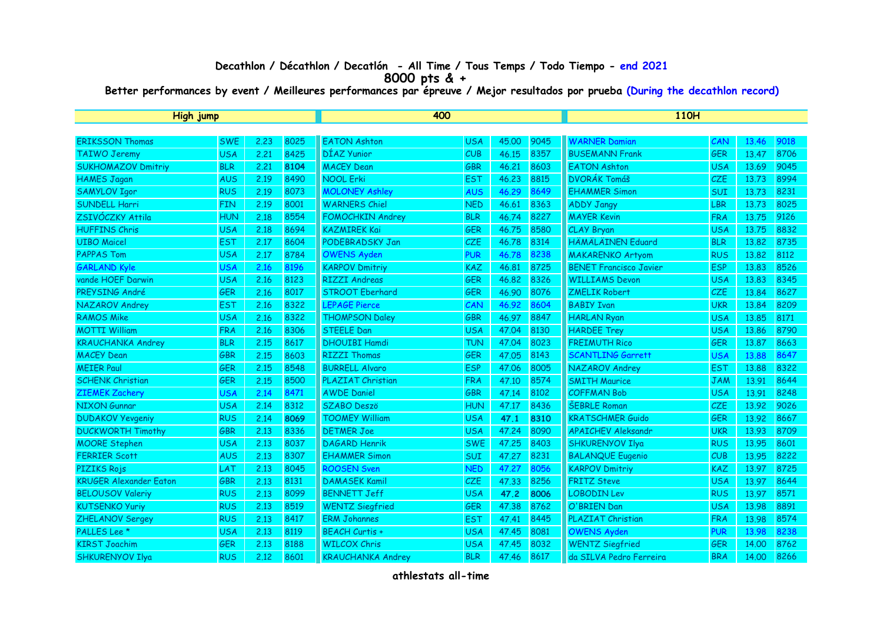## **Decathlon / Décathlon / Decatlón - All Time / Tous Temps / Todo Tiempo - end 2021 8000 pts & +**

**Better performances by event / Meilleures performances par épreuve / Mejor resultados por prueba (During the decathlon record)**

| High jump                     |            |      |      | 400                      |            |       |      | <b>110H</b>                   |            |       |      |
|-------------------------------|------------|------|------|--------------------------|------------|-------|------|-------------------------------|------------|-------|------|
|                               |            |      |      |                          |            |       |      |                               |            |       |      |
| <b>ERIKSSON Thomas</b>        | <b>SWE</b> | 2.23 | 8025 | <b>EATON Ashton</b>      | <b>USA</b> | 45,00 | 9045 | <b>WARNER Damian</b>          | CAN        | 13.46 | 9018 |
| <b>TAIWO Jeremy</b>           | <b>USA</b> | 2.21 | 8425 | DÍAZ Yunior              | CUB        | 46.15 | 8357 | <b>BUSEMANN Frank</b>         | <b>GER</b> | 13,47 | 8706 |
| <b>SUKHOMAZOV Dmitriy</b>     | <b>BLR</b> | 2.21 | 8104 | <b>MACEY Dean</b>        | <b>GBR</b> | 46.21 | 8603 | <b>EATON Ashton</b>           | <b>USA</b> | 13.69 | 9045 |
| <b>HAMES Jagan</b>            | <b>AUS</b> | 2.19 | 8490 | <b>NOOL Erki</b>         | <b>EST</b> | 46.23 | 8815 | <b>DVORÁK Tomáš</b>           | <b>CZE</b> | 13.73 | 8994 |
| <b>SAMYLOV Igor</b>           | <b>RUS</b> | 2.19 | 8073 | <b>MOLONEY Ashley</b>    | <b>AUS</b> | 46.29 | 8649 | <b>EHAMMER Simon</b>          | SUI        | 13.73 | 8231 |
| <b>SUNDELL Harri</b>          | <b>FIN</b> | 2.19 | 8001 | <b>WARNERS Chiel</b>     | <b>NED</b> | 46.61 | 8363 | <b>ADDY Jangy</b>             | LBR        | 13.73 | 8025 |
| ZSIVÓCZKY Attila              | <b>HUN</b> | 2.18 | 8554 | <b>FOMOCHKIN Andrey</b>  | <b>BLR</b> | 46.74 | 8227 | <b>MAYER Kevin</b>            | <b>FRA</b> | 13.75 | 9126 |
| <b>HUFFINS Chris</b>          | <b>USA</b> | 2.18 | 8694 | <b>KAZMIREK Kai</b>      | GER        | 46.75 | 8580 | CLAY Bryan                    | <b>USA</b> | 13.75 | 8832 |
| <b>UIBO Maicel</b>            | <b>EST</b> | 2.17 | 8604 | PODEBRADSKY Jan          | <b>CZE</b> | 46.78 | 8314 | <b>HÄMÄLÄINEN Eduard</b>      | <b>BLR</b> | 13.82 | 8735 |
| <b>PAPPAS Tom</b>             | <b>USA</b> | 2.17 | 8784 | <b>OWENS Ayden</b>       | <b>PUR</b> | 46.78 | 8238 | <b>MAKARENKO Artyom</b>       | <b>RUS</b> | 13.82 | 8112 |
| <b>GARLAND Kyle</b>           | <b>USA</b> | 2.16 | 8196 | <b>KARPOV Dmitriy</b>    | <b>KAZ</b> | 46.81 | 8725 | <b>BENET Francisco Javier</b> | <b>ESP</b> | 13.83 | 8526 |
| vande HOEF Darwin             | <b>USA</b> | 2.16 | 8123 | <b>RIZZI Andreas</b>     | GER        | 46.82 | 8326 | <b>WILLIAMS Devon</b>         | <b>USA</b> | 13.83 | 8345 |
| PREYSING André                | GER        | 2.16 | 8017 | <b>STROOT Eberhard</b>   | <b>GER</b> | 46.90 | 8076 | <b>ZMELIK Robert</b>          | <b>CZE</b> | 13.84 | 8627 |
| NAZAROV Andrey                | <b>EST</b> | 2.16 | 8322 | <b>LEPAGE Pierce</b>     | CAN        | 46.92 | 8604 | <b>BABIY Ivan</b>             | <b>UKR</b> | 13,84 | 8209 |
| <b>RAMOS Mike</b>             | <b>USA</b> | 2.16 | 8322 | <b>THOMPSON Daley</b>    | <b>GBR</b> | 46.97 | 8847 | <b>HARLAN Ryan</b>            | <b>USA</b> | 13.85 | 8171 |
| <b>MOTTI William</b>          | <b>FRA</b> | 2.16 | 8306 | <b>STEELE Dan</b>        | <b>USA</b> | 47.04 | 8130 | <b>HARDEE Trey</b>            | <b>USA</b> | 13.86 | 8790 |
| <b>KRAUCHANKA Andrey</b>      | <b>BLR</b> | 2.15 | 8617 | <b>DHOUIBI Hamdi</b>     | <b>TUN</b> | 47.04 | 8023 | <b>FREIMUTH Rico</b>          | <b>GER</b> | 13,87 | 8663 |
| <b>MACEY Dean</b>             | <b>GBR</b> | 2.15 | 8603 | <b>RIZZI Thomas</b>      | <b>GER</b> | 47.05 | 8143 | <b>SCANTLING Garrett</b>      | <b>USA</b> | 13,88 | 8647 |
| <b>MEIER Paul</b>             | <b>GER</b> | 2.15 | 8548 | <b>BURRELL Alvaro</b>    | <b>ESP</b> | 47.06 | 8005 | NAZAROV Andrey                | <b>EST</b> | 13.88 | 8322 |
| <b>SCHENK Christian</b>       | GER        | 2.15 | 8500 | PLAZIAT Christian        | <b>FRA</b> | 47.10 | 8574 | <b>SMITH Maurice</b>          | <b>JAM</b> | 13.91 | 8644 |
| <b>ZIEMEK Zachery</b>         | <b>USA</b> | 2.14 | 8471 | <b>AWDE Daniel</b>       | GBR        | 47.14 | 8102 | <b>COFFMAN Bob</b>            | <b>USA</b> | 13.91 | 8248 |
| <b>NIXON Gunnar</b>           | <b>USA</b> | 2.14 | 8312 | <b>SZABO Deszö</b>       | <b>HUN</b> | 47.17 | 8436 | <b>ŠEBRLE Roman</b>           | CZE        | 13.92 | 9026 |
| <b>DUDAKOV Yevgeniy</b>       | <b>RUS</b> | 2.14 | 8069 | <b>TOOMEY William</b>    | <b>USA</b> | 47.1  | 8310 | <b>KRATSCHMER Guido</b>       | GER        | 13.92 | 8667 |
| <b>DUCKWORTH Timothy</b>      | <b>GBR</b> | 2.13 | 8336 | <b>DETMER Joe</b>        | <b>USA</b> | 47.24 | 8090 | <b>APAICHEV Aleksandr</b>     | <b>UKR</b> | 13.93 | 8709 |
| <b>MOORE Stephen</b>          | <b>USA</b> | 2.13 | 8037 | <b>DAGARD Henrik</b>     | <b>SWE</b> | 47.25 | 8403 | <b>SHKURENYOV Ilya</b>        | <b>RUS</b> | 13.95 | 8601 |
| <b>FERRIER Scott</b>          | <b>AUS</b> | 2.13 | 8307 | <b>EHAMMER Simon</b>     | <b>SUI</b> | 47.27 | 8231 | <b>BALANQUE Eugenio</b>       | CUB        | 13.95 | 8222 |
| <b>PIZIKS Rojs</b>            | LAT        | 2.13 | 8045 | <b>ROOSEN Sven</b>       | <b>NED</b> | 47.27 | 8056 | <b>KARPOV Dmitriy</b>         | KAZ        | 13.97 | 8725 |
| <b>KRUGER Alexander Eaton</b> | <b>GBR</b> | 2.13 | 8131 | <b>DAMASEK Kamil</b>     | <b>CZE</b> | 47.33 | 8256 | <b>FRITZ Steve</b>            | <b>USA</b> | 13.97 | 8644 |
| <b>BELOUSOV Valeriy</b>       | <b>RUS</b> | 2.13 | 8099 | <b>BENNETT Jeff</b>      | <b>USA</b> | 47.2  | 8006 | <b>LOBODIN Lev</b>            | <b>RUS</b> | 13.97 | 8571 |
| <b>KUTSENKO Yuriy</b>         | <b>RUS</b> | 2.13 | 8519 | <b>WENTZ Siegfried</b>   | <b>GER</b> | 47.38 | 8762 | O'BRIEN Dan                   | <b>USA</b> | 13.98 | 8891 |
| ZHELANOV Sergey               | <b>RUS</b> | 2.13 | 8417 | <b>ERM Johannes</b>      | <b>EST</b> | 47.41 | 8445 | <b>PLAZIAT Christian</b>      | <b>FRA</b> | 13.98 | 8574 |
| PALLES Lee *                  | <b>USA</b> | 2.13 | 8119 | <b>BEACH Curtis +</b>    | <b>USA</b> | 47.45 | 8081 | <b>OWENS Ayden</b>            | <b>PUR</b> | 13.98 | 8238 |
| <b>KIRST Joachim</b>          | <b>GER</b> | 2.13 | 8188 | <b>WILCOX Chris</b>      | <b>USA</b> | 47.45 | 8032 | <b>WENTZ Siegfried</b>        | <b>GER</b> | 14.00 | 8762 |
| <b>SHKURENYOV Ilya</b>        | <b>RUS</b> | 2.12 | 8601 | <b>KRAUCHANKA Andrey</b> | <b>BLR</b> | 47.46 | 8617 | da SILVA Pedro Ferreira       | <b>BRA</b> | 14.00 | 8266 |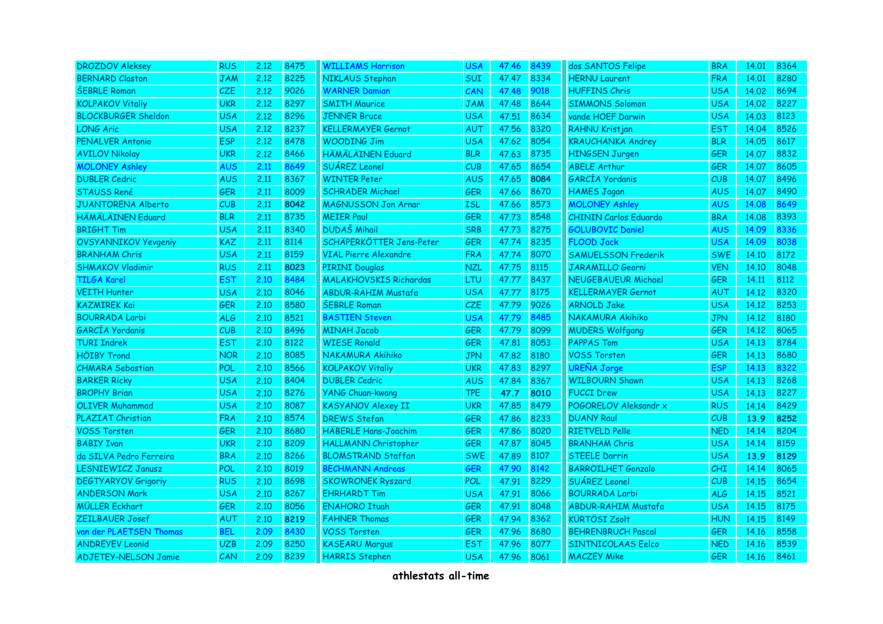| <b>DROZDOV Aleksey</b>      | <b>RUS</b> | 2.12 | 8475 | <b>WILLIAMS Harrison</b>      | <b>USA</b> | 47.46 | 8439 | dos SANTOS Felipe            | <b>BRA</b> | 14.01 | 8364 |
|-----------------------------|------------|------|------|-------------------------------|------------|-------|------|------------------------------|------------|-------|------|
| <b>BERNARD Claston</b>      | <b>JAM</b> | 2.12 | 8225 | NIKLAUS Stephan               | <b>SUI</b> | 47.47 | 8334 | <b>HERNU Laurent</b>         | <b>FRA</b> | 14.01 | 8280 |
| <b>ŠEBRLE Roman</b>         | <b>CZE</b> | 2.12 | 9026 | <b>WARNER Damian</b>          | CAN        | 47.48 | 9018 | <b>HUFFINS Chris</b>         | <b>USA</b> | 14.02 | 8694 |
| <b>KOLPAKOV Vitaliy</b>     | <b>UKR</b> | 2.12 | 8297 | <b>SMITH Maurice</b>          | <b>JAM</b> | 47.48 | 8644 | <b>SIMMONS Solomon</b>       | <b>USA</b> | 14.02 | 8227 |
| <b>BLOCKBURGER Sheldon</b>  | USA        | 2.12 | 8296 | <b>JENNER Bruce</b>           | <b>USA</b> | 47.51 | 8634 | vande HOEF Darwin            | <b>USA</b> | 14.03 | 8123 |
| <b>LONG Aric</b>            | USA        | 2.12 | 8237 | <b>KELLERMAYER Gernot</b>     | AUT        | 47.56 | 8320 | RAHNU Kristjan               | <b>EST</b> | 14.04 | 8526 |
| PENALVER Antonio            | <b>ESP</b> | 2.12 | 8478 | <b>WOODING Jim</b>            | <b>USA</b> | 47.62 | 8054 | <b>KRAUCHANKA Andrey</b>     | <b>BLR</b> | 14.05 | 8617 |
| <b>AVILOV Nikolay</b>       | <b>UKR</b> | 2.12 | 8466 | <b>HÄMÄLÄINEN Eduard</b>      | <b>BLR</b> | 47.63 | 8735 | <b>HINGSEN Jurgen</b>        | <b>GER</b> | 14.07 | 8832 |
| <b>MOLONEY Ashley</b>       | <b>AUS</b> | 2.11 | 8649 | SUÁREZ Leonel                 | CUB        | 47.65 | 8654 | <b>ABELE Arthur</b>          | GER        | 14.07 | 8605 |
| <b>DUBLER Cedric</b>        | <b>AUS</b> | 2.11 | 8367 | <b>WINTER Peter</b>           | <b>AUS</b> | 47.65 | 8084 | GARCÍA Yordanis              | CUB        | 14.07 | 8496 |
| <b>STAUSS René</b>          | <b>GER</b> | 2.11 | 8009 | <b>SCHRADER Michael</b>       | <b>GER</b> | 47.66 | 8670 | <b>HAMES Jagan</b>           | <b>AUS</b> | 14.07 | 8490 |
| <b>JUANTORENA Alberto</b>   | CUB        | 2.11 | 8042 | <b>MAGNUSSON Jon Arnar</b>    | <b>ISL</b> | 47.66 | 8573 | <b>MOLONEY Ashley</b>        | <b>AUS</b> | 14.08 | 8649 |
| <b>HÄMÄLÄINEN Eduard</b>    | <b>BLR</b> | 2.11 | 8735 | <b>MEIER Paul</b>             | GER        | 47.73 | 8548 | <b>CHININ Carlos Eduardo</b> | <b>BRA</b> | 14.08 | 8393 |
| <b>BRIGHT Tim</b>           | USA        | 2.11 | 8340 | <b>DUDAŠ Mihail</b>           | <b>SRB</b> | 47.73 | 8275 | <b>GOLUBOVIC Daniel</b>      | <b>AUS</b> | 14.09 | 8336 |
| <b>OVSYANNIKOV Yevgeniy</b> | <b>KAZ</b> | 2.11 | 8114 | SCHÄPERKÖTTER Jens-Peter      | <b>GER</b> | 47.74 | 8235 | <b>FLOOD Jack</b>            | <b>USA</b> | 14.09 | 8038 |
| <b>BRANHAM Chris</b>        | <b>USA</b> | 2.11 | 8159 | <b>VIAL Pierre Alexandre</b>  | <b>FRA</b> | 47.74 | 8070 | <b>SAMUELSSON Frederik</b>   | <b>SWE</b> | 14.10 | 8172 |
| <b>SHMAKOV Vladimir</b>     | <b>RUS</b> | 2.11 | 8023 | <b>PIRINI Douglas</b>         | <b>NZL</b> | 47.75 | 8115 | JARAMILLO Georni             | <b>VEN</b> | 14.10 | 8048 |
| <b>TILGA Karel</b>          | <b>EST</b> | 2.10 | 8484 | <b>MALAKHOVSKIS Richardas</b> | <b>LTU</b> | 47.77 | 8437 | <b>NEUGEBAUEUR Michael</b>   | <b>GER</b> | 14.11 | 8112 |
| <b>VEITH Hunter</b>         | <b>USA</b> | 2.10 | 8046 | <b>ABDUR-RAHIM Mustafa</b>    | <b>USA</b> | 47.77 | 8175 | <b>KELLERMAYER Gernot</b>    | <b>AUT</b> | 14.12 | 8320 |
| <b>KAZMIREK Kai</b>         | <b>GER</b> | 2.10 | 8580 | <b>ŠEBRLE Roman</b>           | CZE        | 47.79 | 9026 | <b>ARNOLD Jake</b>           | <b>USA</b> | 14.12 | 8253 |
| <b>BOURRADA Larbi</b>       | <b>ALG</b> | 2.10 | 8521 | <b>BASTIEN Steven</b>         | <b>USA</b> | 47.79 | 8485 | NAKAMURA Akihiko             | <b>JPN</b> | 14.12 | 8180 |
| <b>GARCÍA Yordanis</b>      | CUB        | 2.10 | 8496 | <b>MINAH Jacob</b>            | GER        | 47.79 | 8099 | <b>MUDERS Wolfgang</b>       | GER        | 14.12 | 8065 |
| <b>TURI Indrek</b>          | <b>EST</b> | 2.10 | 8122 | <b>WIESE Ronald</b>           | GER        | 47.81 | 8053 | <b>PAPPAS Tom</b>            | <b>USA</b> | 14.13 | 8784 |
| <b>HÖIBY Trond</b>          | <b>NOR</b> | 2.10 | 8085 | NAKAMURA Akihiko              | <b>JPN</b> | 47.82 | 8180 | <b>VOSS Torsten</b>          | GER        | 14.13 | 8680 |
| <b>CHMARA Sebastian</b>     | POL        | 2.10 | 8566 | <b>KOLPAKOV Vitaliy</b>       | <b>UKR</b> | 47.83 | 8297 | <b>UREÑA Jorge</b>           | <b>ESP</b> | 14.13 | 8322 |
| <b>BARKER Ricky</b>         | <b>USA</b> | 2.10 | 8404 | <b>DUBLER Cedric</b>          | <b>AUS</b> | 47.84 | 8367 | <b>WILBOURN Shawn</b>        | <b>USA</b> | 14.13 | 8268 |
| <b>BROPHY Brian</b>         | <b>USA</b> | 2.10 | 8276 | <b>YANG Chuan-kwang</b>       | <b>TPE</b> | 47.7  | 8010 | <b>FUCCI Drew</b>            | <b>USA</b> | 14.13 | 8227 |
| <b>OLIVER Muhammad</b>      | <b>USA</b> | 2.10 | 8087 | <b>KASYANOV Alexey II</b>     | <b>UKR</b> | 47.85 | 8479 | POGORELOV Aleksandr x        | <b>RUS</b> | 14.14 | 8429 |
| <b>PLAZIAT Christian</b>    | <b>FRA</b> | 2.10 | 8574 | <b>DREWS Stefan</b>           | <b>GER</b> | 47.86 | 8233 | <b>DUANY Raul</b>            | CUB        | 13.9  | 8252 |
| <b>VOSS Torsten</b>         | <b>GER</b> | 2.10 | 8680 | <b>HÄBERLE Hans-Joachim</b>   | <b>GER</b> | 47.86 | 8020 | <b>RIETVELD Pelle</b>        | <b>NED</b> | 14.14 | 8204 |
| <b>BABIY Ivan</b>           | <b>UKR</b> | 2.10 | 8209 | HALLMANN Christopher          | <b>GER</b> | 47.87 | 8045 | <b>BRANHAM Chris</b>         | <b>USA</b> | 14.14 | 8159 |
| da SILVA Pedro Ferreira     | <b>BRA</b> | 2.10 | 8266 | <b>BLOMSTRAND Staffan</b>     | <b>SWE</b> | 47.89 | 8107 | <b>STEELE Darrin</b>         | <b>USA</b> | 13.9  | 8129 |
| <b>LESNIEWICZ Janusz</b>    | <b>POL</b> | 2.10 | 8019 | <b>BECHMANN Andreas</b>       | <b>GER</b> | 47.90 | 8142 | <b>BARROILHET Gonzalo</b>    | <b>CHI</b> | 14.14 | 8065 |
| <b>DEGTYARYOV Grigoriy</b>  | <b>RUS</b> | 2.10 | 8698 | <b>SKOWRONEK Ryszard</b>      | POL        | 47.91 | 8229 | SUÁREZ Leonel                | CUB        | 14.15 | 8654 |
| <b>ANDERSON Mark</b>        | <b>USA</b> | 2.10 | 8267 | <b>EHRHARDT Tim</b>           | <b>USA</b> | 47.91 | 8066 | <b>BOURRADA Larbi</b>        | ALG        | 14.15 | 8521 |
| <b>MÜLLER Eckhart</b>       | <b>GER</b> | 2.10 | 8056 | <b>ENAHORO Ituah</b>          | <b>GER</b> | 47.91 | 8048 | <b>ABDUR-RAHIM Mustafa</b>   | <b>USA</b> | 14.15 | 8175 |
| ZEILBAUER Josef             | AUT        | 2.10 | 8219 | <b>FAHNER Thomas</b>          | GER        | 47.94 | 8362 | <b>KÜRTÖSI Zsolt</b>         | <b>HUN</b> | 14.15 | 8149 |
| van der PLAETSEN Thomas     | <b>BEL</b> | 2.09 | 8430 | <b>VOSS Torsten</b>           | <b>GER</b> | 47.96 | 8680 | <b>BEHRENBRUCH Pascal</b>    | <b>GER</b> | 14.16 | 8558 |
| <b>ANDREYEV Leonid</b>      | <b>UZB</b> | 2.09 | 8250 | <b>KASEARU Margus</b>         | <b>EST</b> | 47.96 | 8077 | <b>SINTNICOLAAS Eelco</b>    | <b>NED</b> | 14.16 | 8539 |
| ADJETEY-NELSON Jamie        | CAN        | 2.09 | 8239 | <b>HARRIS Stephen</b>         | <b>USA</b> | 47.96 | 8061 | <b>MACZEY Mike</b>           | <b>GER</b> | 14.16 | 8461 |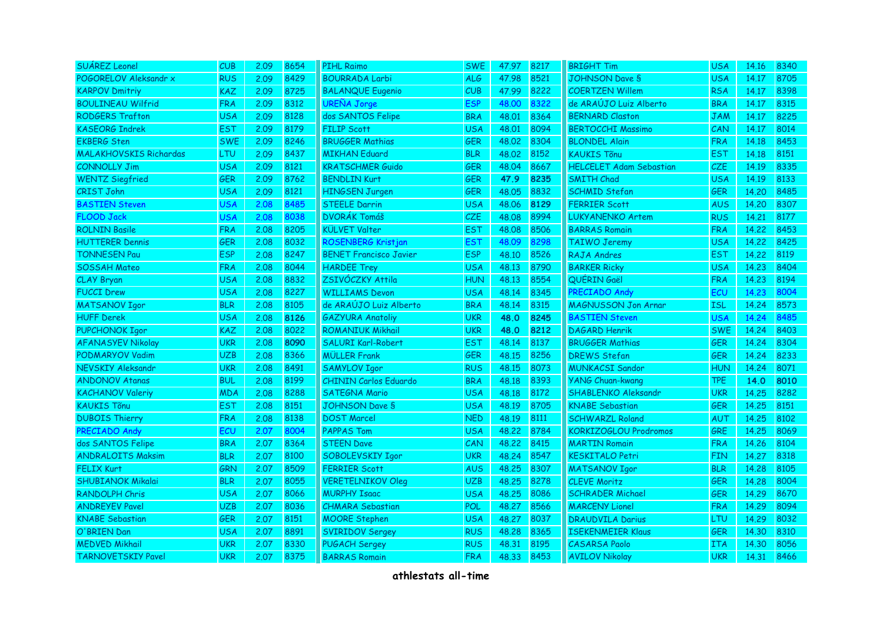| SUÁREZ Leonel                 | CUB        | 2.09 | 8654 | <b>PIHL Raimo</b>             | <b>SWE</b> | 47.97 | 8217 | <b>BRIGHT Tim</b>              | <b>USA</b> | 14.16 | 8340 |
|-------------------------------|------------|------|------|-------------------------------|------------|-------|------|--------------------------------|------------|-------|------|
| POGORELOV Aleksandr x         | <b>RUS</b> | 2.09 | 8429 | <b>BOURRADA Larbi</b>         | ALG        | 47.98 | 8521 | <b>JOHNSON Dave S</b>          | <b>USA</b> | 14.17 | 8705 |
| <b>KARPOV Dmitriy</b>         | <b>KAZ</b> | 2.09 | 8725 | <b>BALANQUE Eugenio</b>       | CUB        | 47.99 | 8222 | <b>COERTZEN Willem</b>         | <b>RSA</b> | 14.17 | 8398 |
| <b>BOULINEAU Wilfrid</b>      | <b>FRA</b> | 2.09 | 8312 | <b>UREÑA Jorge</b>            | <b>ESP</b> | 48.00 | 8322 | de ARAÚJO Luiz Alberto         | <b>BRA</b> | 14.17 | 8315 |
| <b>RODGERS Trafton</b>        | <b>USA</b> | 2.09 | 8128 | dos SANTOS Felipe             | <b>BRA</b> | 48.01 | 8364 | <b>BERNARD Claston</b>         | <b>JAM</b> | 14.17 | 8225 |
| <b>KASEORG Indrek</b>         | <b>EST</b> | 2.09 | 8179 | <b>FILIP Scott</b>            | <b>USA</b> | 48.01 | 8094 | <b>BERTOCCHI Massimo</b>       | CAN        | 14.17 | 8014 |
| <b>EKBERG Sten</b>            | <b>SWE</b> | 2.09 | 8246 | <b>BRUGGER Mathias</b>        | <b>GER</b> | 48.02 | 8304 | <b>BLONDEL Alain</b>           | <b>FRA</b> | 14.18 | 8453 |
| <b>MALAKHOVSKIS Richardas</b> | <b>LTU</b> | 2.09 | 8437 | <b>MIKHAN Eduard</b>          | <b>BLR</b> | 48.02 | 8152 | <b>KAUKIS Tõnu</b>             | <b>EST</b> | 14.18 | 8151 |
| <b>CONNOLLY Jim</b>           | <b>USA</b> | 2.09 | 8121 | <b>KRATSCHMER Guido</b>       | <b>GER</b> | 48.04 | 8667 | <b>HELCELET Adam Sebastian</b> | CZE        | 14.19 | 8335 |
| <b>WENTZ Siegfried</b>        | <b>GER</b> | 2.09 | 8762 | <b>BENDLIN Kurt</b>           | <b>GER</b> | 47.9  | 8235 | <b>SMITH Chad</b>              | <b>USA</b> | 14.19 | 8133 |
| <b>CRIST John</b>             | <b>USA</b> | 2.09 | 8121 | <b>HINGSEN Jurgen</b>         | <b>GER</b> | 48.05 | 8832 | <b>SCHMID Stefan</b>           | <b>GER</b> | 14.20 | 8485 |
| <b>BASTIEN Steven</b>         | <b>USA</b> | 2.08 | 8485 | <b>STEELE Darrin</b>          | <b>USA</b> | 48.06 | 8129 | <b>FERRIER Scott</b>           | <b>AUS</b> | 14.20 | 8307 |
| <b>FLOOD Jack</b>             | <b>USA</b> | 2.08 | 8038 | <b>DVORÁK Tomáš</b>           | CZE        | 48.08 | 8994 | <b>LUKYANENKO Artem</b>        | <b>RUS</b> | 14.21 | 8177 |
| <b>ROLNIN Basile</b>          | <b>FRA</b> | 2.08 | 8205 | <b>KÜLVET Valter</b>          | <b>EST</b> | 48.08 | 8506 | <b>BARRAS Romain</b>           | <b>FRA</b> | 14.22 | 8453 |
| <b>HUTTERER Dennis</b>        | <b>GER</b> | 2.08 | 8032 | ROSENBERG Kristjan            | <b>EST</b> | 48.09 | 8298 | <b>TAIWO Jeremy</b>            | <b>USA</b> | 14,22 | 8425 |
| <b>TONNESEN Pau</b>           | <b>ESP</b> | 2.08 | 8247 | <b>BENET Francisco Javier</b> | <b>ESP</b> | 48.10 | 8526 | RAJA Andres                    | <b>EST</b> | 14.22 | 8119 |
| <b>SOSSAH Mateo</b>           | <b>FRA</b> | 2.08 | 8044 | <b>HARDEE Trey</b>            | <b>USA</b> | 48.13 | 8790 | <b>BARKER Ricky</b>            | <b>USA</b> | 14.23 | 8404 |
| CLAY Bryan                    | <b>USA</b> | 2.08 | 8832 | ZSIVÓCZKY Attila              | <b>HUN</b> | 48.13 | 8554 | QUÉRIN Gaël                    | <b>FRA</b> | 14.23 | 8194 |
| <b>FUCCI Drew</b>             | <b>USA</b> | 2.08 | 8227 | <b>WILLIAMS Devon</b>         | <b>USA</b> | 48.14 | 8345 | PRECIADO Andy                  | ECU        | 14.23 | 8004 |
| <b>MATSANOV Igor</b>          | <b>BLR</b> | 2.08 | 8105 | de ARAÚJO Luiz Alberto        | <b>BRA</b> | 48.14 | 8315 | <b>MAGNUSSON Jon Arnar</b>     | <b>ISL</b> | 14.24 | 8573 |
| <b>HUFF Derek</b>             | <b>USA</b> | 2.08 | 8126 | <b>GAZYURA Anatoliy</b>       | <b>UKR</b> | 48.0  | 8245 | <b>BASTIEN Steven</b>          | <b>USA</b> | 14.24 | 8485 |
| PUPCHONOK Igor                | <b>KAZ</b> | 2.08 | 8022 | <b>ROMANIUK Mikhail</b>       | <b>UKR</b> | 48.0  | 8212 | <b>DAGARD Henrik</b>           | <b>SWE</b> | 14.24 | 8403 |
| <b>AFANASYEV Nikolay</b>      | <b>UKR</b> | 2.08 | 8090 | <b>SALURI Karl-Robert</b>     | <b>EST</b> | 48.14 | 8137 | <b>BRUGGER Mathias</b>         | <b>GER</b> | 14.24 | 8304 |
| PODMARYOV Vadim               | <b>UZB</b> | 2.08 | 8366 | <b>MÜLLER Frank</b>           | <b>GER</b> | 48.15 | 8256 | <b>DREWS Stefan</b>            | <b>GER</b> | 14.24 | 8233 |
| NEVSKIY Aleksandr             | <b>UKR</b> | 2.08 | 8491 | <b>SAMYLOV Igor</b>           | <b>RUS</b> | 48.15 | 8073 | <b>MUNKACSI Sandor</b>         | <b>HUN</b> | 14.24 | 8071 |
| <b>ANDONOV Atanas</b>         | <b>BUL</b> | 2.08 | 8199 | <b>CHININ Carlos Eduardo</b>  | <b>BRA</b> | 48.18 | 8393 | <b>YANG Chuan-kwang</b>        | <b>TPE</b> | 14.0  | 8010 |
| <b>KACHANOV Valeriy</b>       | <b>MDA</b> | 2.08 | 8288 | <b>SATEGNA Mario</b>          | <b>USA</b> | 48.18 | 8172 | <b>SHABLENKO Aleksandr</b>     | <b>UKR</b> | 14.25 | 8282 |
| <b>KAUKIS Tõnu</b>            | <b>EST</b> | 2.08 | 8151 | <b>JOHNSON Dave S</b>         | <b>USA</b> | 48.19 | 8705 | <b>KNABE Sebastian</b>         | <b>GER</b> | 14.25 | 8151 |
| <b>DUBOIS Thierry</b>         | <b>FRA</b> | 2.08 | 8138 | <b>DOST Marcel</b>            | <b>NED</b> | 48.19 | 8111 | <b>SCHWARZL Roland</b>         | <b>AUT</b> | 14.25 | 8102 |
| PRECIADO Andy                 | ECU        | 2.07 | 8004 | <b>PAPPAS Tom</b>             | <b>USA</b> | 48.22 | 8784 | KORKIZOGLOU Prodromos          | <b>GRE</b> | 14.25 | 8069 |
| dos SANTOS Felipe             | <b>BRA</b> | 2.07 | 8364 | <b>STEEN Dave</b>             | CAN        | 48.22 | 8415 | <b>MARTIN Romain</b>           | <b>FRA</b> | 14.26 | 8104 |
| <b>ANDRALOITS Maksim</b>      | <b>BLR</b> | 2.07 | 8100 | SOBOLEVSKIY Igor              | <b>UKR</b> | 48.24 | 8547 | <b>KESKITALO Petri</b>         | <b>FIN</b> | 14.27 | 8318 |
| <b>FELIX Kurt</b>             | <b>GRN</b> | 2.07 | 8509 | <b>FERRIER Scott</b>          | <b>AUS</b> | 48.25 | 8307 | <b>MATSANOV Igor</b>           | <b>BLR</b> | 14.28 | 8105 |
| <b>SHUBIANOK Mikalai</b>      | <b>BLR</b> | 2.07 | 8055 | <b>VERETELNIKOV Oleg</b>      | <b>UZB</b> | 48,25 | 8278 | <b>CLEVE Moritz</b>            | <b>GER</b> | 14.28 | 8004 |
| <b>RANDOLPH Chris</b>         | <b>USA</b> | 2.07 | 8066 | <b>MURPHY Isaac</b>           | <b>USA</b> | 48.25 | 8086 | <b>SCHRADER Michael</b>        | <b>GER</b> | 14.29 | 8670 |
| <b>ANDREYEV Pavel</b>         | <b>UZB</b> | 2.07 | 8036 | <b>CHMARA Sebastian</b>       | <b>POL</b> | 48.27 | 8566 | <b>MARCENY Lionel</b>          | <b>FRA</b> | 14.29 | 8094 |
| <b>KNABE</b> Sebastian        | <b>GER</b> | 2.07 | 8151 | <b>MOORE Stephen</b>          | <b>USA</b> | 48.27 | 8037 | <b>DRAUDVILA Darius</b>        | LTU        | 14.29 | 8032 |
| O'BRIEN Dan                   | <b>USA</b> | 2.07 | 8891 | <b>SVIRIDOV Sergey</b>        | <b>RUS</b> | 48.28 | 8365 | <b>ISEKENMEIER Klaus</b>       | <b>GER</b> | 14.30 | 8310 |
| <b>MEDVED Mikhail</b>         | UKR        | 2.07 | 8330 | <b>PUGACH Sergey</b>          | <b>RUS</b> | 48.31 | 8195 | <b>CASARSA Paolo</b>           | <b>ITA</b> | 14.30 | 8056 |
| <b>TARNOVETSKIY Pavel</b>     | <b>UKR</b> | 2.07 | 8375 | <b>BARRAS Romain</b>          | <b>FRA</b> | 48.33 | 8453 | <b>AVILOV Nikolay</b>          | <b>UKR</b> | 14.31 | 8466 |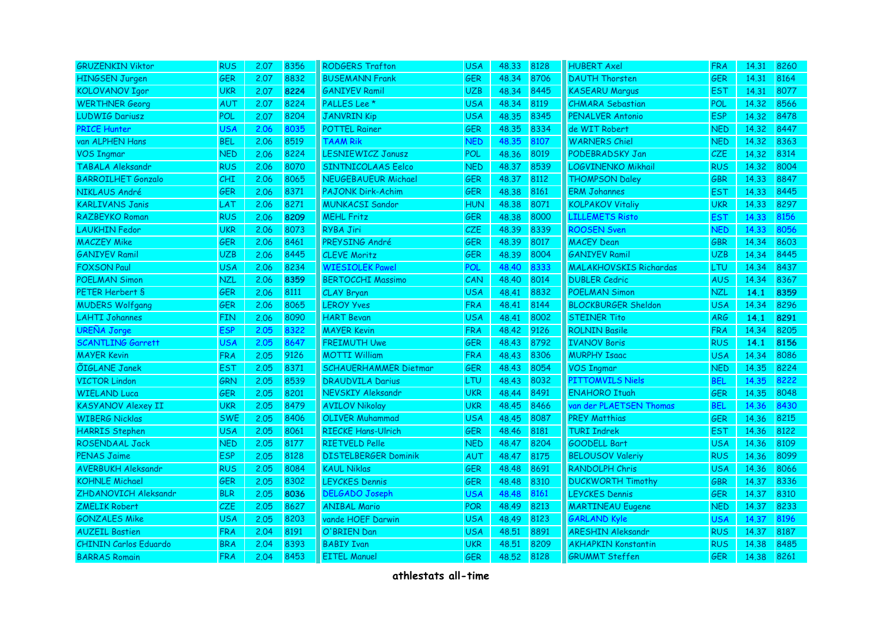| <b>GRUZENKIN Viktor</b>      | <b>RUS</b> | 2.07 | 8356 | <b>RODGERS Trafton</b>       | <b>USA</b> | 48.33 | 8128 | <b>HUBERT Axel</b>            | <b>FRA</b> | 14.31 | 8260 |
|------------------------------|------------|------|------|------------------------------|------------|-------|------|-------------------------------|------------|-------|------|
| <b>HINGSEN Jurgen</b>        | <b>GER</b> | 2.07 | 8832 | <b>BUSEMANN Frank</b>        | <b>GER</b> | 48.34 | 8706 | <b>DAUTH Thorsten</b>         | <b>GER</b> | 14.31 | 8164 |
| <b>KOLOVANOV Igor</b>        | <b>UKR</b> | 2.07 | 8224 | <b>GANIYEV Ramil</b>         | <b>UZB</b> | 48.34 | 8445 | <b>KASEARU Marqus</b>         | <b>EST</b> | 14.31 | 8077 |
| <b>WERTHNER Georg</b>        | <b>AUT</b> | 2.07 | 8224 | PALLES Lee <sup>*</sup>      | <b>USA</b> | 48.34 | 8119 | <b>CHMARA Sebastian</b>       | POL        | 14.32 | 8566 |
| <b>LUDWIG Dariusz</b>        | POL        | 2.07 | 8204 | <b>JANVRIN Kip</b>           | <b>USA</b> | 48.35 | 8345 | <b>PENALVER Antonio</b>       | <b>ESP</b> | 14.32 | 8478 |
| <b>PRICE Hunter</b>          | <b>USA</b> | 2.06 | 3035 | <b>POTTEL Rainer</b>         | <b>GER</b> | 48.35 | 8334 | de WIT Robert                 | <b>NED</b> | 14.32 | 8447 |
| van ALPHEN Hans              | <b>BEL</b> | 2.06 | 8519 | <b>TAAM Rik</b>              | <b>NED</b> | 48.35 | 8107 | <b>WARNERS Chiel</b>          | <b>NED</b> | 14.32 | 8363 |
| <b>VOS Ingmar</b>            | <b>NED</b> | 2.06 | 8224 | <b>LESNIEWICZ Janusz</b>     | <b>POL</b> | 48.36 | 8019 | PODEBRADSKY Jan               | <b>CZE</b> | 14.32 | 8314 |
| TABALA Aleksandr             | <b>RUS</b> | 2.06 | 8070 | SINTNICOLAAS Eelco           | <b>NED</b> | 48.37 | 8539 | LOGVINENKO Mikhail            | <b>RUS</b> | 14.32 | 8004 |
| <b>BARROILHET Gonzalo</b>    | <b>CHI</b> | 2.06 | 8065 | <b>NEUGEBAUEUR Michael</b>   | GER        | 48.37 | 8112 | <b>THOMPSON Daley</b>         | GBR        | 14.33 | 8847 |
| NIKLAUS André                | <b>GER</b> | 2.06 | 8371 | <b>PAJONK Dirk-Achim</b>     | <b>GER</b> | 48.38 | 8161 | <b>ERM Johannes</b>           | <b>EST</b> | 14.33 | 8445 |
| <b>KARLIVANS Janis</b>       | LAT        | 2.06 | 8271 | <b>MUNKACSI Sandor</b>       | <b>HUN</b> | 48.38 | 8071 | <b>KOLPAKOV Vitaliy</b>       | <b>UKR</b> | 14.33 | 8297 |
| <b>RAZBEYKO Roman</b>        | <b>RUS</b> | 2.06 | 8209 | <b>MEHL Fritz</b>            | <b>GER</b> | 48.38 | 8000 | <b>LILLEMETS Risto</b>        | <b>EST</b> | 14.33 | 8156 |
| <b>LAUKHIN Fedor</b>         | <b>UKR</b> | 2.06 | 8073 | <b>RYBA Jiri</b>             | CZE        | 48.39 | 8339 | <b>ROOSEN Sven</b>            | <b>NED</b> | 14.33 | 8056 |
| <b>MACZEY Mike</b>           | <b>GER</b> | 2.06 | 8461 | PREYSING André               | <b>GER</b> | 48.39 | 8017 | <b>MACEY Dean</b>             | <b>GBR</b> | 14.34 | 8603 |
| <b>GANIYEV Ramil</b>         | <b>UZB</b> | 2.06 | 8445 | <b>CLEVE Moritz</b>          | GER        | 48.39 | 8004 | <b>GANIYEV Ramil</b>          | <b>UZB</b> | 14.34 | 8445 |
| <b>FOXSON Paul</b>           | <b>USA</b> | 2.06 | 8234 | <b>WIESIOLEK Pawel</b>       | <b>POL</b> | 48.40 | 8333 | <b>MALAKHOVSKIS Richardas</b> | <b>LTU</b> | 14.34 | 8437 |
| <b>POELMAN Simon</b>         | <b>NZL</b> | 2.06 | 8359 | <b>BERTOCCHI Massimo</b>     | CAN        | 48.40 | 8014 | <b>DUBLER Cedric</b>          | <b>AUS</b> | 14.34 | 8367 |
| PETER Herbert S              | <b>GER</b> | 2.06 | 8111 | CLAY Bryan                   | <b>USA</b> | 48.41 | 8832 | <b>POELMAN Simon</b>          | <b>NZL</b> | 14.1  | 8359 |
| <b>MUDERS Wolfgang</b>       | <b>GER</b> | 2.06 | 8065 | <b>LEROY Yves</b>            | <b>FRA</b> | 48.41 | 8144 | <b>BLOCKBURGER Sheldon</b>    | <b>USA</b> | 14.34 | 8296 |
| <b>LAHTI Johannes</b>        | <b>FIN</b> | 2.06 | 8090 | <b>HART Bevan</b>            | <b>USA</b> | 48.41 | 8002 | <b>STEINER Tito</b>           | <b>ARG</b> | 14.1  | 8291 |
| <b>UREÑA Jorge</b>           | <b>ESP</b> | 2.05 | 8322 | <b>MAYER Kevin</b>           | <b>FRA</b> | 48.42 | 9126 | <b>ROLNIN Basile</b>          | <b>FRA</b> | 14.34 | 8205 |
| <b>SCANTLING Garrett</b>     | <b>USA</b> | 2.05 | 8647 | <b>FREIMUTH Uwe</b>          | <b>GER</b> | 48.43 | 8792 | <b>IVANOV Boris</b>           | <b>RUS</b> | 14.1  | 8156 |
| <b>MAYER Kevin</b>           | <b>FRA</b> | 2.05 | 9126 | <b>MOTTI William</b>         | <b>FRA</b> | 48.43 | 8306 | <b>MURPHY Isaac</b>           | <b>USA</b> | 14.34 | 8086 |
| <b>ÕIGLANE Janek</b>         | <b>EST</b> | 2.05 | 8371 | <b>SCHAUERHAMMER Dietmar</b> | <b>GER</b> | 48.43 | 8054 | <b>VOS Ingmar</b>             | <b>NED</b> | 14.35 | 8224 |
| <b>VICTOR Lindon</b>         | GRN        | 2.05 | 8539 | <b>DRAUDVILA Darius</b>      | <b>LTU</b> | 48.43 | 8032 | PITTOMVILS Niels              | <b>BEL</b> | 14.35 | 8222 |
| <b>WIELAND Luca</b>          | <b>GER</b> | 2.05 | 8201 | NEVSKIY Aleksandr            | <b>UKR</b> | 48.44 | 8491 | <b>ENAHORO Ituah</b>          | <b>GER</b> | 14.35 | 8048 |
| <b>KASYANOV Alexey II</b>    | <b>UKR</b> | 2.05 | 8479 | <b>AVILOV Nikolay</b>        | <b>UKR</b> | 48.45 | 8466 | van der PLAETSEN Thomas       | <b>BEL</b> | 14.36 | 8430 |
| <b>WIBERG Nicklas</b>        | <b>SWE</b> | 2.05 | 8406 | <b>OLIVER Muhammad</b>       | <b>USA</b> | 48.45 | 8087 | <b>PREY Matthias</b>          | <b>GER</b> | 14.36 | 8215 |
| <b>HARRIS Stephen</b>        | <b>USA</b> | 2.05 | 8061 | <b>RIECKE Hans-Ulrich</b>    | <b>GER</b> | 48.46 | 8181 | <b>TURI Indrek</b>            | <b>EST</b> | 14.36 | 8122 |
| ROSENDAAL Jack               | <b>NED</b> | 2.05 | 8177 | <b>RIETVELD Pelle</b>        | <b>NED</b> | 48.47 | 8204 | <b>GOODELL Bart</b>           | <b>USA</b> | 14.36 | 8109 |
| <b>PENAS Jaime</b>           | <b>ESP</b> | 2.05 | 8128 | <b>DISTELBERGER Dominik</b>  | <b>AUT</b> | 48.47 | 8175 | <b>BELOUSOV Valeriy</b>       | <b>RUS</b> | 14.36 | 8099 |
| <b>AVERBUKH Aleksandr</b>    | <b>RUS</b> | 2.05 | 8084 | <b>KAUL Niklas</b>           | <b>GER</b> | 48.48 | 8691 | <b>RANDOLPH Chris</b>         | <b>USA</b> | 14.36 | 8066 |
| <b>KOHNLE Michael</b>        | <b>GER</b> | 2.05 | 8302 | <b>LEYCKES Dennis</b>        | <b>GER</b> | 48.48 | 8310 | <b>DUCKWORTH Timothy</b>      | <b>GBR</b> | 14.37 | 8336 |
| ZHDANOVICH Aleksandr         | <b>BLR</b> | 2.05 | 8036 | <b>DELGADO Joseph</b>        | <b>USA</b> | 48.48 | 8161 | <b>LEYCKES Dennis</b>         | <b>GER</b> | 14.37 | 8310 |
| <b>ZMELIK Robert</b>         | <b>CZE</b> | 2.05 | 8627 | <b>ANIBAL Mario</b>          | <b>POR</b> | 48.49 | 8213 | <b>MARTINEAU Eugene</b>       | <b>NED</b> | 14.37 | 8233 |
| <b>GONZALES Mike</b>         | <b>USA</b> | 2.05 | 8203 | vande HOEF Darwin            | <b>USA</b> | 48.49 | 8123 | <b>GARLAND Kyle</b>           | <b>USA</b> | 14.37 | 8196 |
| <b>AUZEIL Bastien</b>        | <b>FRA</b> | 2.04 | 8191 | O'BRIEN Dan                  | <b>USA</b> | 48.51 | 8891 | <b>ARESHIN Aleksandr</b>      | <b>RUS</b> | 14.37 | 8187 |
| <b>CHININ Carlos Eduardo</b> | <b>BRA</b> | 2.04 | 8393 | <b>BABIY Ivan</b>            | <b>UKR</b> | 48.51 | 8209 | <b>AKHAPKIN Konstantin</b>    | <b>RUS</b> | 14.38 | 8485 |
| <b>BARRAS Romain</b>         | <b>FRA</b> | 2.04 | 8453 | <b>EITEL Manuel</b>          | <b>GER</b> | 48.52 | 8128 | <b>GRUMMT Steffen</b>         | <b>GER</b> | 14.38 | 8261 |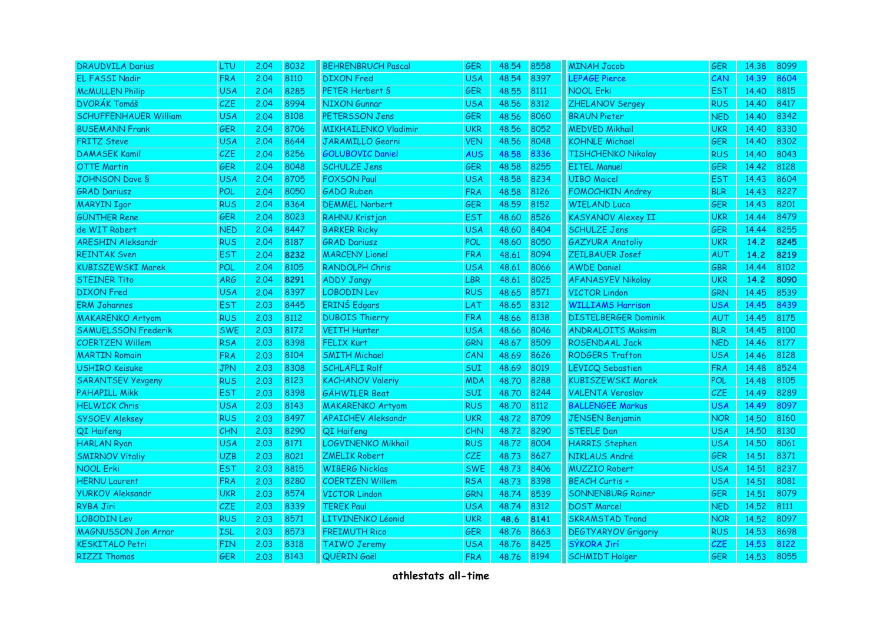| <b>DRAUDVILA Darius</b>      | LTU        | 2.04 | 8032 | <b>BEHRENBRUCH Pascal</b>   | <b>GER</b> | 48.54 | 8558 | <b>MINAH Jacob</b>          | <b>GER</b> | 14.38 | 8099 |
|------------------------------|------------|------|------|-----------------------------|------------|-------|------|-----------------------------|------------|-------|------|
| <b>EL FASSI Nadir</b>        | <b>FRA</b> | 2.04 | 8110 | <b>DIXON</b> Fred           | <b>USA</b> | 48.54 | 8397 | LEPAGE Pierce               | CAN        | 14.39 | 8604 |
| <b>McMULLEN Philip</b>       | <b>USA</b> | 2.04 | 8285 | PETER Herbert S             | <b>GER</b> | 48.55 | 8111 | <b>NOOL Erki</b>            | <b>EST</b> | 14.40 | 8815 |
| <b>DVORÁK Tomáš</b>          | <b>CZE</b> | 2.04 | 8994 | <b>NIXON Gunnar</b>         | <b>USA</b> | 48.56 | 8312 | ZHELANOV Sergey             | <b>RUS</b> | 14.40 | 8417 |
| <b>SCHUFFENHAUER William</b> | USA        | 2.04 | 8108 | PETERSSON Jens              | <b>GER</b> | 48.56 | 8060 | <b>BRAUN Pieter</b>         | <b>NED</b> | 14.40 | 8342 |
| <b>BUSEMANN Frank</b>        | <b>GER</b> | 2.04 | 8706 | <b>MIKHAILENKO Vladimir</b> | <b>UKR</b> | 48.56 | 8052 | <b>MEDVED Mikhail</b>       | <b>UKR</b> | 14.40 | 8330 |
| <b>FRITZ Steve</b>           | USA        | 2.04 | 8644 | <b>JARAMILLO Georni</b>     | <b>VEN</b> | 48.56 | 8048 | <b>KOHNLE Michael</b>       | <b>GER</b> | 14.40 | 8302 |
| <b>DAMASEK Kamil</b>         | <b>CZE</b> | 2.04 | 8256 | <b>GOLUBOVIC Daniel</b>     | <b>AUS</b> | 48.58 | 8336 | <b>TISHCHENKO Nikolay</b>   | <b>RUS</b> | 14.40 | 8043 |
| <b>OTTE Martin</b>           | <b>GER</b> | 2.04 | 8048 | <b>SCHULZE Jens</b>         | <b>GER</b> | 48.58 | 8255 | <b>EITEL Manuel</b>         | GER        | 14.42 | 8128 |
| <b>JOHNSON Dave S</b>        | <b>USA</b> | 2.04 | 8705 | <b>FOXSON Paul</b>          | <b>USA</b> | 48.58 | 8234 | <b>UIBO Maicel</b>          | <b>EST</b> | 14.43 | 8604 |
| <b>GRAD Dariusz</b>          | POL        | 2.04 | 8050 | <b>GADO Ruben</b>           | <b>FRA</b> | 48.58 | 8126 | <b>FOMOCHKIN Andrey</b>     | <b>BLR</b> | 14.43 | 8227 |
| <b>MARYIN Igor</b>           | <b>RUS</b> | 2.04 | 8364 | <b>DEMMEL Norbert</b>       | <b>GER</b> | 48.59 | 8152 | <b>WIELAND Luca</b>         | <b>GER</b> | 14.43 | 8201 |
| <b>GÜNTHER Rene</b>          | <b>GER</b> | 2.04 | 8023 | RAHNU Kristjan              | <b>EST</b> | 48.60 | 8526 | <b>KASYANOV Alexey II</b>   | <b>UKR</b> | 14.44 | 8479 |
| de WIT Robert                | <b>NED</b> | 2.04 | 8447 | <b>BARKER Ricky</b>         | <b>USA</b> | 48.60 | 8404 | <b>SCHULZE Jens</b>         | <b>GER</b> | 14.44 | 8255 |
| <b>ARESHIN Aleksandr</b>     | <b>RUS</b> | 2.04 | 8187 | <b>GRAD Dariusz</b>         | POL        | 48.60 | 8050 | <b>GAZYURA Anatoliy</b>     | <b>UKR</b> | 14.2  | 8245 |
| <b>REINTAK Sven</b>          | <b>EST</b> | 2.04 | 8232 | <b>MARCENY Lionel</b>       | <b>FRA</b> | 48.61 | 8094 | ZEILBAUER Josef             | <b>AUT</b> | 14.2  | 8219 |
| <b>KUBISZEWSKI Marek</b>     | POL        | 2.04 | 8105 | <b>RANDOLPH Chris</b>       | <b>USA</b> | 48.61 | 8066 | <b>AWDE Daniel</b>          | GBR        | 14.44 | 8102 |
| <b>STEINER Tito</b>          | <b>ARG</b> | 2.04 | 8291 | <b>ADDY Jangy</b>           | <b>LBR</b> | 48.61 | 8025 | <b>AFANASYEV Nikolay</b>    | <b>UKR</b> | 14.2  | 8090 |
| <b>DIXON</b> Fred            | <b>USA</b> | 2.04 | 8397 | <b>LOBODIN Lev</b>          | <b>RUS</b> | 48.65 | 8571 | <b>VICTOR Lindon</b>        | <b>GRN</b> | 14.45 | 8539 |
| <b>ERM Johannes</b>          | <b>EST</b> | 2.03 | 8445 | ERINŠ Edgars                | LAT        | 48.65 | 8312 | <b>WILLIAMS Harrison</b>    | <b>USA</b> | 14.45 | 8439 |
| <b>MAKARENKO Artyom</b>      | <b>RUS</b> | 2.03 | 8112 | <b>DUBOIS Thierry</b>       | <b>FRA</b> | 48.66 | 8138 | <b>DISTELBERGER Dominik</b> | <b>AUT</b> | 14.45 | 8175 |
| <b>SAMUELSSON Frederik</b>   | <b>SWE</b> | 2.03 | 8172 | <b>VEITH Hunter</b>         | <b>USA</b> | 48.66 | 8046 | <b>ANDRALOITS Maksim</b>    | <b>BLR</b> | 14.45 | 8100 |
| <b>COERTZEN Willem</b>       | <b>RSA</b> | 2.03 | 8398 | <b>FELIX Kurt</b>           | <b>GRN</b> | 48.67 | 8509 | ROSENDAAL Jack              | <b>NED</b> | 14.46 | 8177 |
| <b>MARTIN Romain</b>         | <b>FRA</b> | 2.03 | 8104 | <b>SMITH Michael</b>        | CAN        | 48.69 | 8626 | <b>RODGERS Trafton</b>      | <b>USA</b> | 14.46 | 8128 |
| <b>USHIRO Keisuke</b>        | <b>JPN</b> | 2.03 | 8308 | <b>SCHLÄFLI Rolf</b>        | SUI        | 48.69 | 8019 | <b>LEVICQ Sebastien</b>     | <b>FRA</b> | 14.48 | 8524 |
| <b>SARANTSEV Yevgeny</b>     | <b>RUS</b> | 2.03 | 8123 | <b>KACHANOV Valeriy</b>     | <b>MDA</b> | 48.70 | 8288 | <b>KUBISZEWSKI Marek</b>    | <b>POL</b> | 14.48 | 8105 |
| <b>PAHAPILL Mikk</b>         | <b>EST</b> | 2.03 | 8398 | <b>GÄHWILER Beat</b>        | <b>SUI</b> | 48.70 | 8244 | <b>VALENTA Veroslav</b>     | <b>CZE</b> | 14.49 | 8289 |
| <b>HELWICK Chris</b>         | <b>USA</b> | 2.03 | 8143 | <b>MAKARENKO Artyom</b>     | <b>RUS</b> | 48.70 | 8112 | <b>BALLENGEE Markus</b>     | <b>USA</b> | 14.49 | 8097 |
| <b>SYSOEV Aleksey</b>        | <b>RUS</b> | 2.03 | 8497 | <b>APAICHEV Aleksandr</b>   | <b>UKR</b> | 48.72 | 8709 | <b>JENSEN Benjamin</b>      | <b>NOR</b> | 14.50 | 8160 |
| QI Haifeng                   | CHN        | 2.03 | 8290 | QI Haifeng                  | <b>CHN</b> | 48.72 | 8290 | <b>STEELE Dan</b>           | <b>USA</b> | 14.50 | 8130 |
| <b>HARLAN Ryan</b>           | USA        | 2.03 | 8171 | LOGVINENKO Mikhail          | <b>RUS</b> | 48.72 | 8004 | <b>HARRIS Stephen</b>       | <b>USA</b> | 14.50 | 8061 |
| <b>SMIRNOV Vitaliy</b>       | <b>UZB</b> | 2.03 | 8021 | <b>ZMELIK Robert</b>        | CZE        | 48.73 | 8627 | NIKLAUS André               | <b>GER</b> | 14.51 | 8371 |
| <b>NOOL Erki</b>             | <b>EST</b> | 2.03 | 8815 | <b>WIBERG Nicklas</b>       | <b>SWE</b> | 48.73 | 8406 | <b>MUZZIO Robert</b>        | <b>USA</b> | 14.51 | 8237 |
| <b>HERNU Laurent</b>         | <b>FRA</b> | 2.03 | 8280 | <b>COERTZEN Willem</b>      | <b>RSA</b> | 48.73 | 8398 | <b>BEACH Curtis +</b>       | <b>USA</b> | 14.51 | 8081 |
| <b>YURKOV Aleksandr</b>      | <b>UKR</b> | 2.03 | 8574 | <b>VICTOR Lindon</b>        | <b>GRN</b> | 48.74 | 8539 | <b>SONNENBURG Rainer</b>    | GER        | 14.51 | 8079 |
| RYBA Jiri                    | CZE        | 2.03 | 8339 | <b>TEREK Paul</b>           | <b>USA</b> | 48.74 | 8312 | <b>DOST Marcel</b>          | <b>NED</b> | 14.52 | 8111 |
| <b>LOBODIN Lev</b>           | <b>RUS</b> | 2.03 | 8571 | LITVINENKO Léonid           | <b>UKR</b> | 48.6  | 8141 | <b>SKRAMSTAD Trond</b>      | <b>NOR</b> | 14.52 | 8097 |
| <b>MAGNUSSON Jon Arnar</b>   | <b>ISL</b> | 2.03 | 8573 | <b>FREIMUTH Rico</b>        | <b>GER</b> | 48.76 | 8663 | <b>DEGTYARYOV Grigoriy</b>  | <b>RUS</b> | 14.53 | 8698 |
| <b>KESKITALO Petri</b>       | <b>FIN</b> | 2.03 | 8318 | <b>TAIWO Jeremy</b>         | <b>USA</b> | 48.76 | 8425 | SÝKORA Jirí                 | CZE        | 14.53 | 8122 |
| <b>RIZZI Thomas</b>          | <b>GER</b> | 2.03 | 8143 | QUÉRIN Gaël                 | <b>FRA</b> | 48.76 | 8194 | <b>SCHMIDT Holger</b>       | <b>GER</b> | 14.53 | 8055 |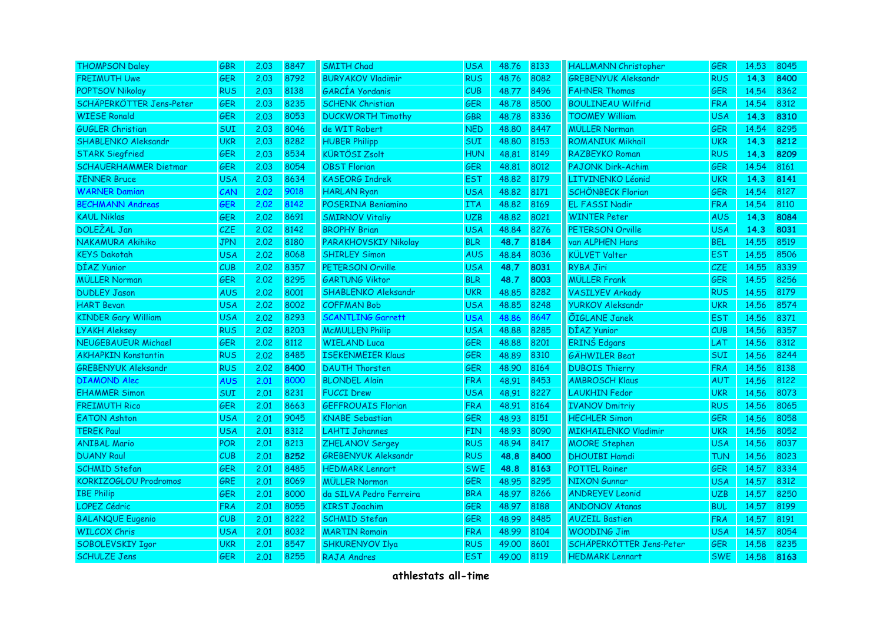| <b>THOMPSON Daley</b>        | <b>GBR</b> | 2.03 | 8847 | <b>SMITH Chad</b>          | <b>USA</b> | 48.76 | 8133 | <b>HALLMANN Christopher</b> | <b>GER</b> | 14.53 | 8045 |
|------------------------------|------------|------|------|----------------------------|------------|-------|------|-----------------------------|------------|-------|------|
| <b>FREIMUTH Uwe</b>          | <b>GER</b> | 2.03 | 8792 | <b>BURYAKOV Vladimir</b>   | <b>RUS</b> | 48.76 | 8082 | <b>GREBENYUK Aleksandr</b>  | <b>RUS</b> | 14.3  | 8400 |
| POPTSOV Nikolay              | <b>RUS</b> | 2.03 | 8138 | GARCIA Yordanis            | CUB        | 48.77 | 8496 | <b>FAHNER Thomas</b>        | <b>GER</b> | 14.54 | 8362 |
| SCHÄPERKÖTTER Jens-Peter     | <b>GER</b> | 2.03 | 8235 | <b>SCHENK Christian</b>    | <b>GER</b> | 48.78 | 8500 | <b>BOULINEAU Wilfrid</b>    | <b>FRA</b> | 14.54 | 8312 |
| <b>WIESE Ronald</b>          | <b>GER</b> | 2.03 | 8053 | <b>DUCKWORTH Timothy</b>   | GBR        | 48.78 | 8336 | <b>TOOMEY William</b>       | <b>USA</b> | 14.3  | 8310 |
| <b>GUGLER Christian</b>      | SUI        | 2.03 | 8046 | de WIT Robert              | <b>NED</b> | 48.80 | 8447 | <b>MÜLLER Norman</b>        | <b>GER</b> | 14.54 | 8295 |
| SHABLENKO Aleksandr          | <b>UKR</b> | 2.03 | 8282 | <b>HUBER Philipp</b>       | SUI        | 48.80 | 8153 | <b>ROMANIUK Mikhail</b>     | <b>UKR</b> | 14.3  | 8212 |
| <b>STARK Siegfried</b>       | <b>GER</b> | 2.03 | 8534 | <b>KÜRTÖSI Zsolt</b>       | <b>HUN</b> | 48.81 | 8149 | RAZBEYKO Roman              | <b>RUS</b> | 14.3  | 8209 |
| <b>SCHAUERHAMMER Dietmar</b> | <b>GER</b> | 2.03 | 8054 | <b>OBST Florian</b>        | <b>GER</b> | 48.81 | 8012 | <b>PAJONK Dirk-Achim</b>    | <b>GER</b> | 14.54 | 8161 |
| <b>JENNER Bruce</b>          | <b>USA</b> | 2.03 | 8634 | <b>KASEORG Indrek</b>      | <b>EST</b> | 48.82 | 8179 | LITVINENKO Léonid           | <b>UKR</b> | 14.3  | 8141 |
| <b>WARNER Damian</b>         | CAN        | 2.02 | 9018 | <b>HARLAN Ryan</b>         | <b>USA</b> | 48.82 | 8171 | SCHÖNBECK Florian           | <b>GER</b> | 14.54 | 8127 |
| <b>BECHMANN Andreas</b>      | <b>GER</b> | 2.02 | 8142 | POSERINA Beniamino         | <b>ITA</b> | 48,82 | 8169 | <b>EL FASSI Nadir</b>       | <b>FRA</b> | 14.54 | 8110 |
| <b>KAUL Niklas</b>           | <b>GER</b> | 2.02 | 8691 | <b>SMIRNOV Vitaliy</b>     | <b>UZB</b> | 48.82 | 8021 | <b>WINTER Peter</b>         | <b>AUS</b> | 14.3  | 8084 |
| DOLEŽAL Jan                  | CZE        | 2.02 | 8142 | <b>BROPHY Brian</b>        | <b>USA</b> | 48.84 | 8276 | PETERSON Orville            | <b>USA</b> | 14.3  | 8031 |
| NAKAMURA Akihiko             | <b>JPN</b> | 2.02 | 8180 | PARAKHOVSKIY Nikolay       | <b>BLR</b> | 48.7  | 8184 | van ALPHEN Hans             | <b>BEL</b> | 14.55 | 8519 |
| <b>KEYS Dakotah</b>          | <b>USA</b> | 2.02 | 8068 | <b>SHIRLEY Simon</b>       | <b>AUS</b> | 48.84 | 8036 | <b>KÜLVET Valter</b>        | <b>EST</b> | 14.55 | 8506 |
| DÍAZ Yunior                  | CUB        | 2.02 | 8357 | PETERSON Orville           | <b>USA</b> | 48.7  | 8031 | RYBA Jiri                   | CZE        | 14.55 | 8339 |
| <b>MÜLLER Norman</b>         | <b>GER</b> | 2.02 | 8295 | <b>GARTUNG Viktor</b>      | <b>BLR</b> | 48.7  | 8003 | <b>MÜLLER Frank</b>         | <b>GER</b> | 14.55 | 8256 |
| <b>DUDLEY Jason</b>          | <b>AUS</b> | 2.02 | 8001 | <b>SHABLENKO Aleksandr</b> | <b>UKR</b> | 48.85 | 8282 | <b>VASILYEV Arkady</b>      | <b>RUS</b> | 14.55 | 8179 |
| <b>HART Bevan</b>            | <b>USA</b> | 2.02 | 8002 | <b>COFFMAN Bob</b>         | <b>USA</b> | 48.85 | 8248 | <b>YURKOV Aleksandr</b>     | <b>UKR</b> | 14.56 | 8574 |
| <b>KINDER Gary William</b>   | <b>USA</b> | 2.02 | 8293 | <b>SCANTLING Garrett</b>   | <b>USA</b> | 48.86 | 8647 | <b>ÕIGLANE Janek</b>        | <b>EST</b> | 14.56 | 8371 |
| <b>LYAKH Aleksey</b>         | <b>RUS</b> | 2.02 | 8203 | <b>McMULLEN Philip</b>     | <b>USA</b> | 48.88 | 8285 | DÍAZ Yunior                 | CUB        | 14.56 | 8357 |
| <b>NEUGEBAUEUR Michael</b>   | GER        | 2.02 | 8112 | <b>WIELAND Luca</b>        | <b>GER</b> | 48.88 | 8201 | <b>ERINŠ</b> Edgars         | LAT        | 14.56 | 8312 |
| <b>AKHAPKIN Konstantin</b>   | <b>RUS</b> | 2.02 | 8485 | <b>ISEKENMEIER Klaus</b>   | <b>GER</b> | 48.89 | 8310 | <b>GÄHWILER Beat</b>        | SUI        | 14.56 | 8244 |
| <b>GREBENYUK Aleksandr</b>   | <b>RUS</b> | 2.02 | 8400 | <b>DAUTH Thorsten</b>      | GER        | 48.90 | 8164 | <b>DUBOIS Thierry</b>       | <b>FRA</b> | 14.56 | 8138 |
| <b>DIAMOND Alec</b>          | <b>AUS</b> | 2.01 | 8000 | <b>BLONDEL Alain</b>       | <b>FRA</b> | 48.91 | 8453 | <b>AMBROSCH Klaus</b>       | <b>AUT</b> | 14.56 | 8122 |
| <b>EHAMMER Simon</b>         | <b>SUI</b> | 2.01 | 8231 | <b>FUCCI Drew</b>          | <b>USA</b> | 48.91 | 8227 | <b>LAUKHIN Fedor</b>        | <b>UKR</b> | 14.56 | 8073 |
| <b>FREIMUTH Rico</b>         | <b>GER</b> | 2.01 | 8663 | <b>GEFFROUAIS Florian</b>  | <b>FRA</b> | 48.91 | 8164 | <b>IVANOV Dmitriy</b>       | <b>RUS</b> | 14.56 | 8065 |
| <b>EATON Ashton</b>          | <b>USA</b> | 2.01 | 9045 | <b>KNABE</b> Sebastian     | GER        | 48.93 | 8151 | <b>HECHLER Simon</b>        | <b>GER</b> | 14.56 | 8058 |
| <b>TEREK Paul</b>            | <b>USA</b> | 2.01 | 8312 | <b>LAHTI Johannes</b>      | <b>FIN</b> | 48.93 | 8090 | <b>MIKHAILENKO Vladimir</b> | <b>UKR</b> | 14.56 | 8052 |
| <b>ANIBAL Mario</b>          | <b>POR</b> | 2.01 | 8213 | <b>ZHELANOV Sergey</b>     | <b>RUS</b> | 48.94 | 8417 | <b>MOORE Stephen</b>        | <b>USA</b> | 14.56 | 8037 |
| <b>DUANY Raul</b>            | CUB        | 2.01 | 8252 | <b>GREBENYUK Aleksandr</b> | <b>RUS</b> | 48.8  | 8400 | <b>DHOUIBI Hamdi</b>        | <b>TUN</b> | 14.56 | 8023 |
| <b>SCHMID Stefan</b>         | <b>GER</b> | 2.01 | 8485 | <b>HEDMARK Lennart</b>     | <b>SWE</b> | 48.8  | 8163 | <b>POTTEL Rainer</b>        | <b>GER</b> | 14.57 | 8334 |
| KORKIZOGLOU Prodromos        | <b>GRE</b> | 2.01 | 8069 | <b>MÜLLER Norman</b>       | <b>GER</b> | 48.95 | 8295 | <b>NIXON Gunnar</b>         | <b>USA</b> | 14.57 | 8312 |
| <b>IBE Philip</b>            | <b>GER</b> | 2.01 | 8000 | da SILVA Pedro Ferreira    | <b>BRA</b> | 48.97 | 8266 | <b>ANDREYEV Leonid</b>      | <b>UZB</b> | 14.57 | 8250 |
| LOPEZ Cédric                 | <b>FRA</b> | 2.01 | 8055 | <b>KIRST Joachim</b>       | GER        | 48.97 | 8188 | <b>ANDONOV Atanas</b>       | <b>BUL</b> | 14.57 | 8199 |
| <b>BALANQUE Eugenio</b>      | CUB        | 2.01 | 8222 | <b>SCHMID Stefan</b>       | GER        | 48.99 | 8485 | <b>AUZEIL Bastien</b>       | <b>FRA</b> | 14,57 | 8191 |
| <b>WILCOX Chris</b>          | <b>USA</b> | 2.01 | 8032 | <b>MARTIN Romain</b>       | <b>FRA</b> | 48.99 | 8104 | <b>WOODING Jim</b>          | <b>USA</b> | 14.57 | 8054 |
| SOBOLEVSKIY Igor             | UKR        | 2.01 | 8547 | <b>SHKURENYOV Ilya</b>     | <b>RUS</b> | 49.00 | 8601 | SCHÄPERKÖTTER Jens-Peter    | <b>GER</b> | 14.58 | 8235 |
| <b>SCHULZE Jens</b>          | <b>GER</b> | 2.01 | 8255 | <b>RAJA Andres</b>         | <b>EST</b> | 49.00 | 8119 | <b>HEDMARK Lennart</b>      | <b>SWE</b> | 14.58 | 8163 |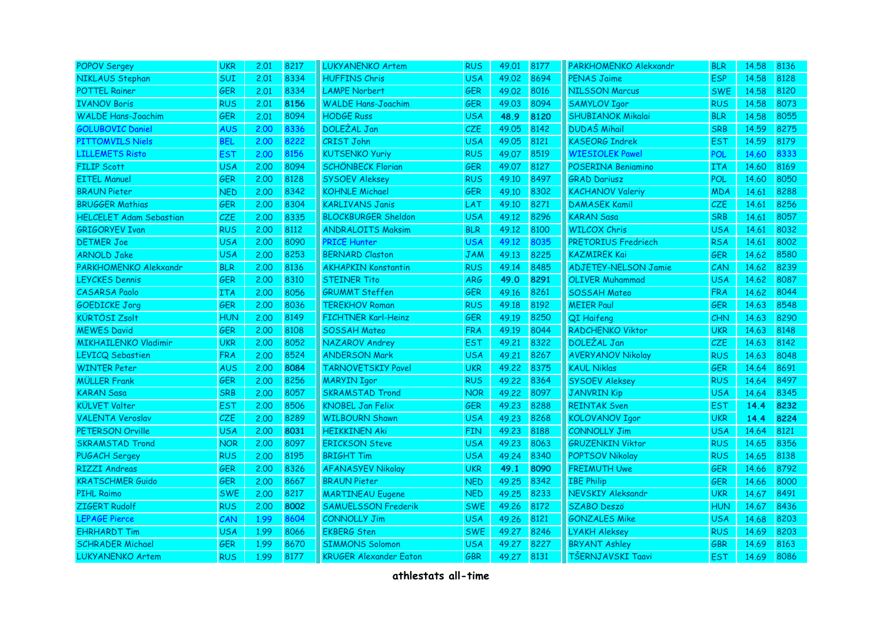| <b>POPOV Sergey</b>            | <b>UKR</b> | 2.01 | 8217 | <b>LUKYANENKO Artem</b>       | <b>RUS</b> | 49.01 | 8177 | PARKHOMENKO Alekxandr       | <b>BLR</b> | 14.58 | 8136 |
|--------------------------------|------------|------|------|-------------------------------|------------|-------|------|-----------------------------|------------|-------|------|
| NIKLAUS Stephan                | SUI        | 2.01 | 8334 | <b>HUFFINS Chris</b>          | <b>USA</b> | 49.02 | 8694 | <b>PENAS Jaime</b>          | <b>ESP</b> | 14.58 | 8128 |
| <b>POTTEL Rainer</b>           | <b>GER</b> | 2.01 | 8334 | <b>LAMPE Norbert</b>          | <b>GER</b> | 49.02 | 8016 | <b>NILSSON Marcus</b>       | <b>SWE</b> | 14.58 | 8120 |
| <b>IVANOV Boris</b>            | <b>RUS</b> | 2.01 | 8156 | <b>WALDE Hans-Joachim</b>     | <b>GER</b> | 49.03 | 8094 | <b>SAMYLOV Igor</b>         | <b>RUS</b> | 14.58 | 8073 |
| <b>WALDE Hans-Joachim</b>      | <b>GER</b> | 2.01 | 8094 | <b>HODGE Russ</b>             | <b>USA</b> | 48.9  | 8120 | <b>SHUBIANOK Mikalai</b>    | <b>BLR</b> | 14.58 | 8055 |
| <b>GOLUBOVIC Daniel</b>        | <b>AUS</b> | 2.00 | 8336 | DOLEŽAL Jan                   | <b>CZE</b> | 49.05 | 8142 | <b>DUDAŠ Mihail</b>         | <b>SRB</b> | 14.59 | 8275 |
| <b>PITTOMVILS Niels</b>        | <b>BEL</b> | 2.00 | 8222 | <b>CRIST John</b>             | <b>USA</b> | 49.05 | 8121 | <b>KASEORG Indrek</b>       | <b>EST</b> | 14.59 | 8179 |
| <b>LILLEMETS Risto</b>         | <b>EST</b> | 2.00 | 8156 | <b>KUTSENKO Yuriy</b>         | <b>RUS</b> | 49.07 | 8519 | <b>WIESIOLEK Pawel</b>      | <b>POL</b> | 14.60 | 8333 |
| <b>FILIP Scott</b>             | <b>USA</b> | 2.00 | 8094 | <b>SCHÖNBECK Florian</b>      | GER        | 49.07 | 8127 | POSERINA Beniamino          | <b>ITA</b> | 14.60 | 8169 |
| <b>EITEL Manuel</b>            | <b>GER</b> | 2.00 | 8128 | <b>SYSOEV Aleksey</b>         | <b>RUS</b> | 49.10 | 8497 | <b>GRAD Dariusz</b>         | <b>POL</b> | 14.60 | 8050 |
| <b>BRAUN Pieter</b>            | <b>NED</b> | 2.00 | 8342 | <b>KOHNLE Michael</b>         | <b>GER</b> | 49.10 | 8302 | <b>KACHANOV Valeriy</b>     | <b>MDA</b> | 14.61 | 8288 |
| <b>BRUGGER Mathias</b>         | <b>GER</b> | 2.00 | 8304 | <b>KARLIVANS Janis</b>        | LAT        | 49.10 | 8271 | <b>DAMASEK Kamil</b>        | <b>CZE</b> | 14.61 | 8256 |
| <b>HELCELET Adam Sebastian</b> | <b>CZE</b> | 2.00 | 8335 | <b>BLOCKBURGER Sheldon</b>    | <b>USA</b> | 49.12 | 8296 | <b>KARAN Sasa</b>           | <b>SRB</b> | 14.61 | 8057 |
| <b>GRIGORYEV Ivan</b>          | <b>RUS</b> | 2.00 | 8112 | <b>ANDRALOITS Maksim</b>      | <b>BLR</b> | 49.12 | 8100 | <b>WILCOX Chris</b>         | <b>USA</b> | 14.61 | 8032 |
| <b>DETMER Joe</b>              | <b>USA</b> | 2.00 | 8090 | <b>PRICE Hunter</b>           | <b>USA</b> | 49.12 | 8035 | PRETORIUS Fredriech         | <b>RSA</b> | 14,61 | 8002 |
| <b>ARNOLD Jake</b>             | <b>USA</b> | 2.00 | 8253 | <b>BERNARD Claston</b>        | <b>JAM</b> | 49.13 | 8225 | <b>KAZMIREK Kai</b>         | <b>GER</b> | 14.62 | 8580 |
| PARKHOMENKO Alekxandr          | <b>BLR</b> | 2.00 | 8136 | <b>AKHAPKIN Konstantin</b>    | <b>RUS</b> | 49.14 | 8485 | <b>ADJETEY-NELSON Jamie</b> | CAN        | 14.62 | 8239 |
| <b>LEYCKES Dennis</b>          | <b>GER</b> | 2.00 | 8310 | <b>STEINER Tito</b>           | <b>ARG</b> | 49.0  | 8291 | <b>OLIVER Muhammad</b>      | <b>USA</b> | 14.62 | 8087 |
| <b>CASARSA Paolo</b>           | <b>ITA</b> | 2.00 | 8056 | <b>GRUMMT Steffen</b>         | <b>GER</b> | 49.16 | 8261 | <b>SOSSAH Mateo</b>         | <b>FRA</b> | 14.62 | 8044 |
| <b>GOEDICKE Jorg</b>           | <b>GER</b> | 2.00 | 8036 | <b>TEREKHOV Roman</b>         | <b>RUS</b> | 49.18 | 8192 | <b>MEIER Paul</b>           | <b>GER</b> | 14.63 | 8548 |
| <b>KÜRTÖSI Zsolt</b>           | <b>HUN</b> | 2.00 | 8149 | <b>FICHTNER Karl-Heinz</b>    | GER        | 49.19 | 8250 | QI Haifeng                  | <b>CHN</b> | 14.63 | 8290 |
| <b>MEWES David</b>             | <b>GER</b> | 2.00 | 8108 | <b>SOSSAH Mateo</b>           | <b>FRA</b> | 49.19 | 8044 | <b>RADCHENKO Viktor</b>     | <b>UKR</b> | 14.63 | 8148 |
| <b>MIKHAILENKO Vladimir</b>    | <b>UKR</b> | 2.00 | 8052 | NAZAROV Andrey                | <b>EST</b> | 49.21 | 8322 | DOLEŽAL Jan                 | <b>CZE</b> | 14.63 | 8142 |
| LEVICQ Sebastien               | <b>FRA</b> | 2.00 | 8524 | <b>ANDERSON Mark</b>          | <b>USA</b> | 49.21 | 8267 | <b>AVERYANOV Nikolay</b>    | <b>RUS</b> | 14.63 | 8048 |
| <b>WINTER Peter</b>            | <b>AUS</b> | 2.00 | 8084 | <b>TARNOVETSKIY Pavel</b>     | <b>UKR</b> | 49.22 | 8375 | <b>KAUL Niklas</b>          | <b>GER</b> | 14.64 | 8691 |
| <b>MÜLLER Frank</b>            | <b>GER</b> | 2.00 | 8256 | <b>MARYIN Igor</b>            | <b>RUS</b> | 49.22 | 8364 | <b>SYSOEV Aleksey</b>       | <b>RUS</b> | 14.64 | 8497 |
| <b>KARAN Sasa</b>              | <b>SRB</b> | 2.00 | 8057 | <b>SKRAMSTAD Trond</b>        | <b>NOR</b> | 49.22 | 8097 | <b>JANVRIN Kip</b>          | <b>USA</b> | 14.64 | 8345 |
| <b>KÜLVET Valter</b>           | <b>EST</b> | 2.00 | 8506 | <b>KNOBEL Jan Felix</b>       | <b>GER</b> | 49.23 | 8288 | <b>REINTAK Sven</b>         | <b>EST</b> | 14.4  | 8232 |
| <b>VALENTA Veroslav</b>        | <b>CZE</b> | 2.00 | 8289 | <b>WILBOURN Shawn</b>         | <b>USA</b> | 49.23 | 8268 | <b>KOLOVANOV Igor</b>       | <b>UKR</b> | 14.4  | 8224 |
| PETERSON Orville               | <b>USA</b> | 2.00 | 8031 | <b>HEIKKINEN Aki</b>          | <b>FIN</b> | 49.23 | 8188 | <b>CONNOLLY Jim</b>         | <b>USA</b> | 14.64 | 8121 |
| <b>SKRAMSTAD Trond</b>         | <b>NOR</b> | 2.00 | 8097 | <b>ERICKSON Steve</b>         | <b>USA</b> | 49.23 | 8063 | <b>GRUZENKIN Viktor</b>     | <b>RUS</b> | 14.65 | 8356 |
| <b>PUGACH Sergey</b>           | <b>RUS</b> | 2.00 | 8195 | <b>BRIGHT Tim</b>             | <b>USA</b> | 49.24 | 8340 | <b>POPTSOV Nikolay</b>      | <b>RUS</b> | 14.65 | 8138 |
| <b>RIZZI Andreas</b>           | <b>GER</b> | 2.00 | 8326 | <b>AFANASYEV Nikolay</b>      | <b>UKR</b> | 49.1  | 8090 | <b>FREIMUTH Uwe</b>         | <b>GER</b> | 14.66 | 8792 |
| <b>KRATSCHMER Guido</b>        | <b>GER</b> | 2.00 | 8667 | <b>BRAUN Pieter</b>           | <b>NED</b> | 49.25 | 8342 | <b>IBE Philip</b>           | GER        | 14.66 | 8000 |
| <b>PIHL Raimo</b>              | <b>SWE</b> | 2.00 | 8217 | <b>MARTINEAU Eugene</b>       | <b>NED</b> | 49.25 | 8233 | NEVSKIY Aleksandr           | <b>UKR</b> | 14.67 | 8491 |
| ZIGERT Rudolf                  | <b>RUS</b> | 2.00 | 8002 | <b>SAMUELSSON Frederik</b>    | <b>SWE</b> | 49.26 | 8172 | <b>SZABO Deszö</b>          | <b>HUN</b> | 14.67 | 8436 |
| <b>LEPAGE Pierce</b>           | CAN        | 1.99 | 8604 | <b>CONNOLLY Jim</b>           | <b>USA</b> | 49.26 | 8121 | <b>GONZALES Mike</b>        | <b>USA</b> | 14.68 | 8203 |
| <b>EHRHARDT Tim</b>            | <b>USA</b> | 1.99 | 8066 | <b>EKBERG Sten</b>            | <b>SWE</b> | 49.27 | 8246 | <b>LYAKH Aleksey</b>        | <b>RUS</b> | 14.69 | 8203 |
| <b>SCHRADER Michael</b>        | <b>GER</b> | 1.99 | 8670 | <b>SIMMONS Solomon</b>        | <b>USA</b> | 49.27 | 8227 | <b>BRYANT Ashley</b>        | <b>GBR</b> | 14.69 | 8163 |
| <b>LUKYANENKO Artem</b>        | <b>RUS</b> | 1.99 | 8177 | <b>KRUGER Alexander Eaton</b> | <b>GBR</b> | 49.27 | 8131 | TŠERNJAVSKI Taavi           | <b>EST</b> | 14.69 | 8086 |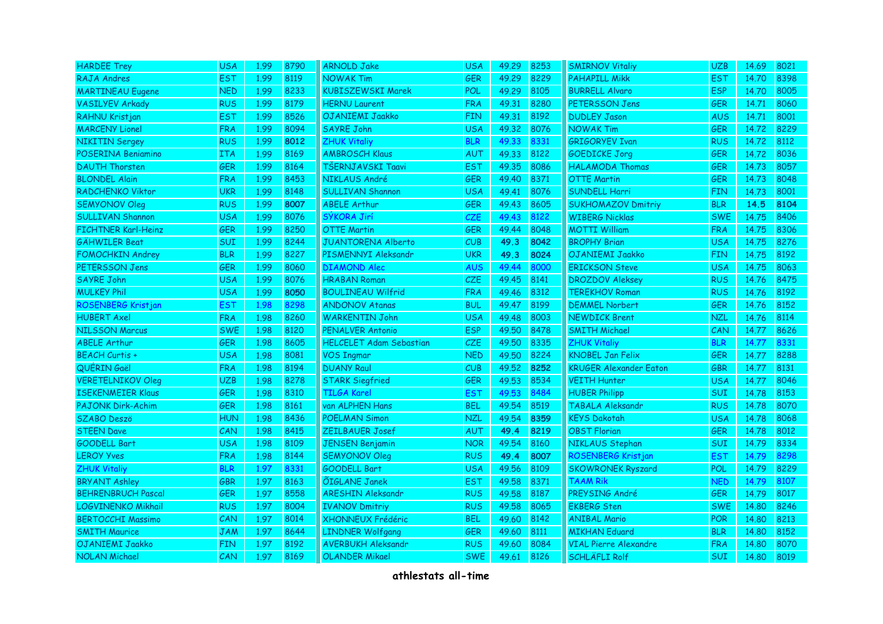| <b>HARDEE Trey</b>         | <b>USA</b> | 1.99 | 8790 | <b>ARNOLD Jake</b>             | <b>USA</b> | 49.29 | 8253 | <b>SMIRNOV Vitaliy</b>        | <b>UZB</b> | 14.69 | 8021 |
|----------------------------|------------|------|------|--------------------------------|------------|-------|------|-------------------------------|------------|-------|------|
| <b>RAJA Andres</b>         | <b>EST</b> | 1.99 | 8119 | <b>NOWAK Tim</b>               | <b>GER</b> | 49.29 | 8229 | <b>PAHAPILL Mikk</b>          | <b>EST</b> | 14.70 | 8398 |
| <b>MARTINEAU Eugene</b>    | <b>NED</b> | 1.99 | 8233 | <b>KUBISZEWSKI Marek</b>       | <b>POL</b> | 49.29 | 8105 | <b>BURRELL Alvaro</b>         | <b>ESP</b> | 14.70 | 8005 |
| <b>VASILYEV Arkady</b>     | <b>RUS</b> | 1.99 | 8179 | <b>HERNU Laurent</b>           | FRA        | 49.31 | 8280 | PETERSSON Jens                | <b>GER</b> | 14.71 | 8060 |
| RAHNU Kristjan             | <b>EST</b> | 1.99 | 8526 | OJANIEMI Jaakko                | <b>FIN</b> | 49.31 | 8192 | <b>DUDLEY Jason</b>           | <b>AUS</b> | 14.71 | 8001 |
| <b>MARCENY Lionel</b>      | <b>FRA</b> | 1.99 | 8094 | <b>SAYRE John</b>              | <b>USA</b> | 49.32 | 8076 | <b>NOWAK Tim</b>              | <b>GER</b> | 14.72 | 8229 |
| <b>NIKITIN Sergey</b>      | <b>RUS</b> | 1.99 | 8012 | <b>ZHUK Vitaliy</b>            | <b>BLR</b> | 49.33 | 8331 | <b>GRIGORYEV Ivan</b>         | <b>RUS</b> | 14.72 | 8112 |
| POSERINA Beniamino         | <b>ITA</b> | 1.99 | 8169 | <b>AMBROSCH Klaus</b>          | AUT        | 49.33 | 8122 | <b>GOEDICKE Jorg</b>          | <b>GER</b> | 14.72 | 8036 |
| <b>DAUTH Thorsten</b>      | <b>GER</b> | 1.99 | 8164 | TŠERNJAVSKI Taavi              | <b>EST</b> | 49.35 | 8086 | <b>HALAMODA Thomas</b>        | <b>GER</b> | 14.73 | 8057 |
| <b>BLONDEL Alain</b>       | <b>FRA</b> | 1.99 | 8453 | NIKLAUS André                  | <b>GER</b> | 49.40 | 8371 | <b>OTTE Martin</b>            | <b>GER</b> | 14.73 | 8048 |
| RADCHENKO Viktor           | <b>UKR</b> | 1.99 | 8148 | <b>SULLIVAN Shannon</b>        | <b>USA</b> | 49.41 | 8076 | SUNDELL Harri                 | <b>FIN</b> | 14.73 | 8001 |
| <b>SEMYONOV Oleg</b>       | <b>RUS</b> | 1.99 | 8007 | <b>ABELE Arthur</b>            | <b>GER</b> | 49.43 | 8605 | <b>SUKHOMAZOV Dmitriy</b>     | <b>BLR</b> | 14.5  | 8104 |
| <b>SULLIVAN Shannon</b>    | <b>USA</b> | 1.99 | 8076 | SÝKORA Jirí                    | <b>CZE</b> | 49.43 | 8122 | <b>WIBERG Nicklas</b>         | <b>SWE</b> | 14.75 | 8406 |
| <b>FICHTNER Karl-Heinz</b> | <b>GER</b> | 1.99 | 8250 | <b>OTTE Martin</b>             | <b>GER</b> | 49.44 | 8048 | <b>MOTTI William</b>          | <b>FRA</b> | 14.75 | 8306 |
| <b>GÄHWILER Beat</b>       | <b>SUI</b> | 1.99 | 8244 | <b>JUANTORENA Alberto</b>      | <b>CUB</b> | 49.3  | 8042 | <b>BROPHY Brian</b>           | <b>USA</b> | 14.75 | 8276 |
| <b>FOMOCHKIN Andrey</b>    | <b>BLR</b> | 1.99 | 8227 | PISMENNYI Aleksandr            | <b>UKR</b> | 49.3  | 8024 | OJANIEMI Jaakko               | <b>FIN</b> | 14.75 | 8192 |
| PETERSSON Jens             | <b>GER</b> | 1.99 | 8060 | <b>DIAMOND Alec</b>            | <b>AUS</b> | 49.44 | 8000 | <b>ERICKSON Steve</b>         | <b>USA</b> | 14.75 | 8063 |
| <b>SAYRE John</b>          | <b>USA</b> | 1.99 | 8076 | <b>HRABAN Roman</b>            | <b>CZE</b> | 49.45 | 8141 | <b>DROZDOV Aleksey</b>        | <b>RUS</b> | 14.76 | 8475 |
| <b>MULKEY Phil</b>         | <b>USA</b> | 1.99 | 8050 | <b>BOULINEAU Wilfrid</b>       | <b>FRA</b> | 49.46 | 8312 | <b>TEREKHOV Roman</b>         | <b>RUS</b> | 14.76 | 8192 |
| ROSENBERG Kristjan         | <b>EST</b> | 1.98 | 8298 | <b>ANDONOV Atanas</b>          | <b>BUL</b> | 49.47 | 8199 | <b>DEMMEL Norbert</b>         | <b>GER</b> | 14.76 | 8152 |
| <b>HUBERT Axel</b>         | <b>FRA</b> | 1.98 | 8260 | <b>WARKENTIN John</b>          | <b>USA</b> | 49.48 | 8003 | <b>NEWDICK Brent</b>          | <b>NZL</b> | 14.76 | 8114 |
| <b>NILSSON Marcus</b>      | <b>SWE</b> | 1.98 | 8120 | <b>PENALVER Antonio</b>        | <b>ESP</b> | 49.50 | 8478 | <b>SMITH Michael</b>          | CAN        | 14.77 | 8626 |
| <b>ABELE Arthur</b>        | <b>GER</b> | 1.98 | 8605 | <b>HELCELET Adam Sebastian</b> | CZE        | 49.50 | 8335 | <b>ZHUK Vitaliy</b>           | <b>BLR</b> | 14.77 | 8331 |
| <b>BEACH Curtis +</b>      | <b>USA</b> | 1.98 | 8081 | <b>VOS Ingmar</b>              | <b>NED</b> | 49.50 | 8224 | <b>KNOBEL Jan Felix</b>       | GER        | 14.77 | 8288 |
| QUÉRIN Gaël                | <b>FRA</b> | 1.98 | 8194 | <b>DUANY Raul</b>              | CUB        | 49.52 | 8252 | <b>KRUGER Alexander Eaton</b> | GBR        | 14.77 | 8131 |
| <b>VERETELNIKOV Oleg</b>   | <b>UZB</b> | 1.98 | 8278 | <b>STARK Siegfried</b>         | <b>GER</b> | 49.53 | 8534 | <b>VEITH Hunter</b>           | <b>USA</b> | 14.77 | 8046 |
| <b>ISEKENMEIER Klaus</b>   | <b>GER</b> | 1.98 | 8310 | <b>TILGA Karel</b>             | <b>EST</b> | 49.53 | 8484 | <b>HUBER Philipp</b>          | SUI        | 14.78 | 8153 |
| <b>PAJONK Dirk-Achim</b>   | <b>GER</b> | 1.98 | 8161 | van ALPHEN Hans                | <b>BEL</b> | 49.54 | 8519 | TABALA Aleksandr              | <b>RUS</b> | 14.78 | 8070 |
| <b>SZABO Deszö</b>         | <b>HUN</b> | 1.98 | 8436 | <b>POELMAN Simon</b>           | <b>NZL</b> | 49.54 | 8359 | <b>KEYS Dakotah</b>           | <b>USA</b> | 14.78 | 8068 |
| <b>STEEN Dave</b>          | CAN        | 1.98 | 8415 | <b>ZEILBAUER Josef</b>         | <b>AUT</b> | 49.4  | 8219 | <b>OBST Florian</b>           | <b>GER</b> | 14.78 | 8012 |
| GOODELL Bart               | <b>USA</b> | 1.98 | 8109 | <b>JENSEN Benjamin</b>         | <b>NOR</b> | 49.54 | 8160 | NIKLAUS Stephan               | <b>SUI</b> | 14.79 | 8334 |
| <b>LEROY Yves</b>          | <b>FRA</b> | 1.98 | 8144 | <b>SEMYONOV Oleg</b>           | <b>RUS</b> | 49.4  | 8007 | ROSENBERG Kristjan            | <b>EST</b> | 14.79 | 8298 |
| <b>ZHUK Vitaliy</b>        | <b>BLR</b> | 1.97 | 8331 | <b>GOODELL Bart</b>            | <b>USA</b> | 49.56 | 8109 | <b>SKOWRONEK Ryszard</b>      | <b>POL</b> | 14.79 | 8229 |
| <b>BRYANT Ashley</b>       | <b>GBR</b> | 1.97 | 8163 | <b>ÕIGLANE Janek</b>           | <b>EST</b> | 49.58 | 8371 | <b>TAAM Rik</b>               | <b>NED</b> | 14.79 | 8107 |
| <b>BEHRENBRUCH Pascal</b>  | <b>GER</b> | 1.97 | 8558 | <b>ARESHIN Aleksandr</b>       | <b>RUS</b> | 49.58 | 8187 | PREYSING André                | <b>GER</b> | 14.79 | 8017 |
| LOGVINENKO Mikhail         | <b>RUS</b> | 1.97 | 8004 | <b>IVANOV Dmitriy</b>          | <b>RUS</b> | 49.58 | 8065 | <b>EKBERG Sten</b>            | <b>SWE</b> | 14.80 | 8246 |
| <b>BERTOCCHI Massimo</b>   | CAN        | 1.97 | 8014 | XHONNEUX Frédéric              | <b>BEL</b> | 49.60 | 8142 | <b>ANIBAL Mario</b>           | <b>POR</b> | 14.80 | 8213 |
| <b>SMITH Maurice</b>       | <b>JAM</b> | 1.97 | 8644 | <b>LINDNER Wolfgang</b>        | <b>GER</b> | 49.60 | 8111 | <b>MIKHAN Eduard</b>          | <b>BLR</b> | 14.80 | 8152 |
| OJANIEMI Jaakko            | <b>FIN</b> | 1.97 | 8192 | <b>AVERBUKH Aleksandr</b>      | <b>RUS</b> | 49.60 | 8084 | <b>VIAL Pierre Alexandre</b>  | <b>FRA</b> | 14.80 | 8070 |
| <b>NOLAN Michael</b>       | CAN        | 1.97 | 8169 | <b>OLANDER Mikael</b>          | <b>SWE</b> | 49.61 | 8126 | <b>SCHLÄFLI Rolf</b>          | <b>SUI</b> | 14.80 | 8019 |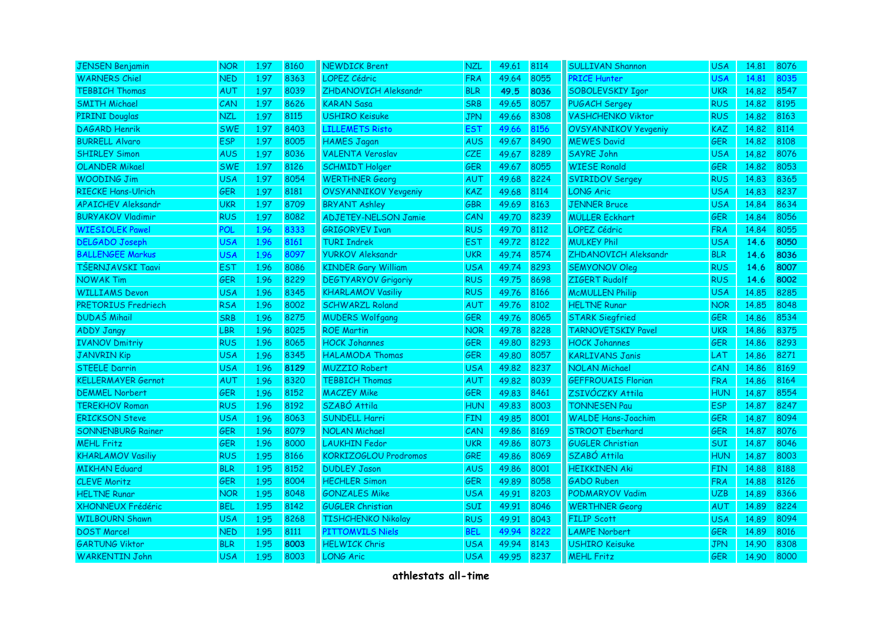| <b>JENSEN Benjamin</b>    | <b>NOR</b> | 1.97 | 8160 | <b>NEWDICK Brent</b>        | <b>NZL</b> | 49.61 | 8114 | <b>SULLIVAN Shannon</b>     | <b>USA</b> | 14,81 | 8076 |
|---------------------------|------------|------|------|-----------------------------|------------|-------|------|-----------------------------|------------|-------|------|
| <b>WARNERS Chiel</b>      | <b>NED</b> | 1.97 | 8363 | <b>LOPEZ Cédric</b>         | <b>FRA</b> | 49.64 | 8055 | <b>PRICE Hunter</b>         | <b>USA</b> | 14.81 | 8035 |
| <b>TEBBICH Thomas</b>     | <b>AUT</b> | 1.97 | 8039 | ZHDANOVICH Aleksandr        | <b>BLR</b> | 49.5  | 8036 | SOBOLEVSKIY Igor            | <b>UKR</b> | 14.82 | 8547 |
| <b>SMITH Michael</b>      | CAN        | 1.97 | 8626 | <b>KARAN Sasa</b>           | <b>SRB</b> | 49.65 | 8057 | <b>PUGACH Sergey</b>        | <b>RUS</b> | 14.82 | 8195 |
| <b>PIRINI Douglas</b>     | <b>NZL</b> | 1.97 | 8115 | <b>USHIRO Keisuke</b>       | <b>JPN</b> | 49.66 | 8308 | <b>VASHCHENKO Viktor</b>    | <b>RUS</b> | 14.82 | 8163 |
| <b>DAGARD Henrik</b>      | <b>SWE</b> | 1.97 | 8403 | <b>LILLEMETS Risto</b>      | EST        | 49.66 | 8156 | <b>OVSYANNIKOV Yevgeniy</b> | KAZ        | 14.82 | 8114 |
| <b>BURRELL Alvaro</b>     | <b>ESP</b> | 1.97 | 8005 | <b>HAMES Jagan</b>          | <b>AUS</b> | 49.67 | 8490 | <b>MEWES David</b>          | <b>GER</b> | 14.82 | 8108 |
| <b>SHIRLEY Simon</b>      | <b>AUS</b> | 1.97 | 8036 | <b>VALENTA Veroslav</b>     | CZE        | 49.67 | 8289 | <b>SAYRE John</b>           | <b>USA</b> | 14.82 | 8076 |
| <b>OLANDER Mikael</b>     | <b>SWE</b> | 1.97 | 8126 | <b>SCHMIDT Holger</b>       | <b>GER</b> | 49.67 | 8055 | <b>WIESE Ronald</b>         | <b>GER</b> | 14.82 | 8053 |
| <b>WOODING Jim</b>        | <b>USA</b> | 1.97 | 8054 | <b>WERTHNER Georg</b>       | AUT        | 49.68 | 8224 | <b>SVIRIDOV Sergey</b>      | <b>RUS</b> | 14.83 | 8365 |
| <b>RIECKE Hans-Ulrich</b> | <b>GER</b> | 1.97 | 8181 | <b>OVSYANNIKOV Yevgeniy</b> | <b>KAZ</b> | 49.68 | 8114 | <b>LONG Aric</b>            | <b>USA</b> | 14.83 | 8237 |
| <b>APAICHEV Aleksandr</b> | <b>UKR</b> | 1.97 | 8709 | <b>BRYANT Ashley</b>        | <b>GBR</b> | 49.69 | 8163 | <b>JENNER Bruce</b>         | <b>USA</b> | 14.84 | 8634 |
| <b>BURYAKOV Vladimir</b>  | <b>RUS</b> | 1.97 | 8082 | <b>ADJETEY-NELSON Jamie</b> | CAN        | 49.70 | 8239 | <b>MÜLLER Eckhart</b>       | <b>GER</b> | 14.84 | 8056 |
| <b>WIESIOLEK Pawel</b>    | POL        | 1.96 | 8333 | <b>GRIGORYEV Ivan</b>       | <b>RUS</b> | 49.70 | 8112 | LOPEZ Cédric                | <b>FRA</b> | 14.84 | 8055 |
| <b>DELGADO Joseph</b>     | USA        | 1.96 | 8161 | <b>TURI Indrek</b>          | <b>EST</b> | 49.72 | 8122 | <b>MULKEY Phil</b>          | <b>USA</b> | 14.6  | 8050 |
| <b>BALLENGEE Markus</b>   | <b>USA</b> | 1.96 | 8097 | <b>YURKOV Aleksandr</b>     | <b>UKR</b> | 49.74 | 8574 | ZHDANOVICH Aleksandr        | <b>BLR</b> | 14.6  | 8036 |
| TŠERNJAVSKI Taavi         | <b>EST</b> | 1.96 | 8086 | <b>KINDER Gary William</b>  | <b>USA</b> | 49.74 | 8293 | <b>SEMYONOV Oleg</b>        | <b>RUS</b> | 14.6  | 8007 |
| <b>NOWAK Tim</b>          | <b>GER</b> | 1.96 | 8229 | <b>DEGTYARYOV Grigoriy</b>  | <b>RUS</b> | 49.75 | 8698 | ZIGERT Rudolf               | <b>RUS</b> | 14.6  | 8002 |
| <b>WILLIAMS Devon</b>     | <b>USA</b> | 1.96 | 8345 | <b>KHARLAMOV Vasiliy</b>    | <b>RUS</b> | 49.76 | 8166 | <b>McMULLEN Philip</b>      | <b>USA</b> | 14.85 | 8285 |
| PRETORIUS Fredriech       | <b>RSA</b> | 1.96 | 8002 | <b>SCHWARZL Roland</b>      | <b>AUT</b> | 49.76 | 8102 | <b>HELTNE Runar</b>         | <b>NOR</b> | 14.85 | 8048 |
| <b>DUDAŠ Mihail</b>       | <b>SRB</b> | 1.96 | 8275 | <b>MUDERS Wolfgang</b>      | <b>GER</b> | 49.76 | 8065 | <b>STARK Siegfried</b>      | GER        | 14.86 | 8534 |
| <b>ADDY Jangy</b>         | <b>LBR</b> | 1.96 | 8025 | <b>ROE Martin</b>           | <b>NOR</b> | 49.78 | 8228 | <b>TARNOVETSKIY Pavel</b>   | <b>UKR</b> | 14.86 | 8375 |
| <b>IVANOV Dmitriy</b>     | RUS        | 1.96 | 8065 | <b>HOCK Johannes</b>        | <b>GER</b> | 49.80 | 8293 | <b>HOCK Johannes</b>        | GER        | 14.86 | 8293 |
| <b>JANVRIN Kip</b>        | <b>USA</b> | 1.96 | 8345 | <b>HALAMODA Thomas</b>      | <b>GER</b> | 49.80 | 8057 | <b>KARLIVANS Janis</b>      | LAT        | 14.86 | 8271 |
| <b>STEELE Darrin</b>      | <b>USA</b> | 1.96 | 8129 | <b>MUZZIO Robert</b>        | <b>USA</b> | 49.82 | 8237 | <b>NOLAN Michael</b>        | CAN        | 14.86 | 8169 |
| <b>KELLERMAYER Gernot</b> | AUT        | 1.96 | 8320 | <b>TEBBICH Thomas</b>       | <b>AUT</b> | 49.82 | 8039 | <b>GEFFROUAIS Florian</b>   | <b>FRA</b> | 14.86 | 8164 |
| <b>DEMMEL Norbert</b>     | <b>GER</b> | 1.96 | 8152 | <b>MACZEY Mike</b>          | <b>GER</b> | 49.83 | 8461 | ZSIVÓCZKY Attila            | <b>HUN</b> | 14.87 | 8554 |
| <b>TEREKHOV Roman</b>     | <b>RUS</b> | 1.96 | 8192 | SZABÓ Attila                | <b>HUN</b> | 49.83 | 8003 | <b>TONNESEN Pau</b>         | <b>ESP</b> | 14.87 | 8247 |
| <b>ERICKSON Steve</b>     | <b>USA</b> | 1.96 | 8063 | <b>SUNDELL Harri</b>        | <b>FIN</b> | 49.85 | 8001 | <b>WALDE Hans-Joachim</b>   | <b>GER</b> | 14,87 | 8094 |
| <b>SONNENBURG Rainer</b>  | <b>GER</b> | 1.96 | 8079 | <b>NOLAN Michael</b>        | CAN        | 49.86 | 8169 | <b>STROOT Eberhard</b>      | <b>GER</b> | 14.87 | 8076 |
| <b>MEHL Fritz</b>         | <b>GER</b> | 1.96 | 8000 | <b>LAUKHIN Fedor</b>        | <b>UKR</b> | 49.86 | 8073 | <b>GUGLER Christian</b>     | <b>SUI</b> | 14.87 | 8046 |
| <b>KHARLAMOV Vasiliy</b>  | <b>RUS</b> | 1.95 | 8166 | KORKIZOGLOU Prodromos       | <b>GRE</b> | 49.86 | 8069 | SZABÓ Attila                | <b>HUN</b> | 14.87 | 8003 |
| <b>MIKHAN Eduard</b>      | <b>BLR</b> | 1.95 | 8152 | <b>DUDLEY Jason</b>         | <b>AUS</b> | 49.86 | 8001 | <b>HEIKKINEN Aki</b>        | <b>FIN</b> | 14.88 | 8188 |
| <b>CLEVE Moritz</b>       | <b>GER</b> | 1.95 | 8004 | <b>HECHLER Simon</b>        | <b>GER</b> | 49.89 | 8058 | <b>GADO Ruben</b>           | <b>FRA</b> | 14.88 | 8126 |
| <b>HELTNE Runar</b>       | <b>NOR</b> | 1.95 | 8048 | <b>GONZALES Mike</b>        | <b>USA</b> | 49.91 | 8203 | <b>PODMARYOV Vadim</b>      | <b>UZB</b> | 14.89 | 8366 |
| <b>XHONNEUX Frédéric</b>  | <b>BEL</b> | 1.95 | 8142 | <b>GUGLER Christian</b>     | <b>SUI</b> | 49.91 | 8046 | <b>WERTHNER Georg</b>       | <b>AUT</b> | 14.89 | 8224 |
| <b>WILBOURN Shawn</b>     | <b>USA</b> | 1.95 | 8268 | <b>TISHCHENKO Nikolay</b>   | <b>RUS</b> | 49.91 | 8043 | <b>FILIP Scott</b>          | <b>USA</b> | 14.89 | 8094 |
| <b>DOST Marcel</b>        | <b>NED</b> | 1.95 | 8111 | <b>PITTOMVILS Niels</b>     | <b>BEL</b> | 49.94 | 8222 | <b>LAMPE Norbert</b>        | <b>GER</b> | 14.89 | 8016 |
| <b>GARTUNG Viktor</b>     | <b>BLR</b> | 1.95 | 8003 | <b>HELWICK Chris</b>        | <b>USA</b> | 49.94 | 8143 | <b>USHIRO Keisuke</b>       | <b>JPN</b> | 14.90 | 8308 |
| <b>WARKENTIN John</b>     | <b>USA</b> | 1.95 | 8003 | <b>LONG Aric</b>            | <b>USA</b> | 49.95 | 8237 | <b>MEHL Fritz</b>           | <b>GER</b> | 14.90 | 8000 |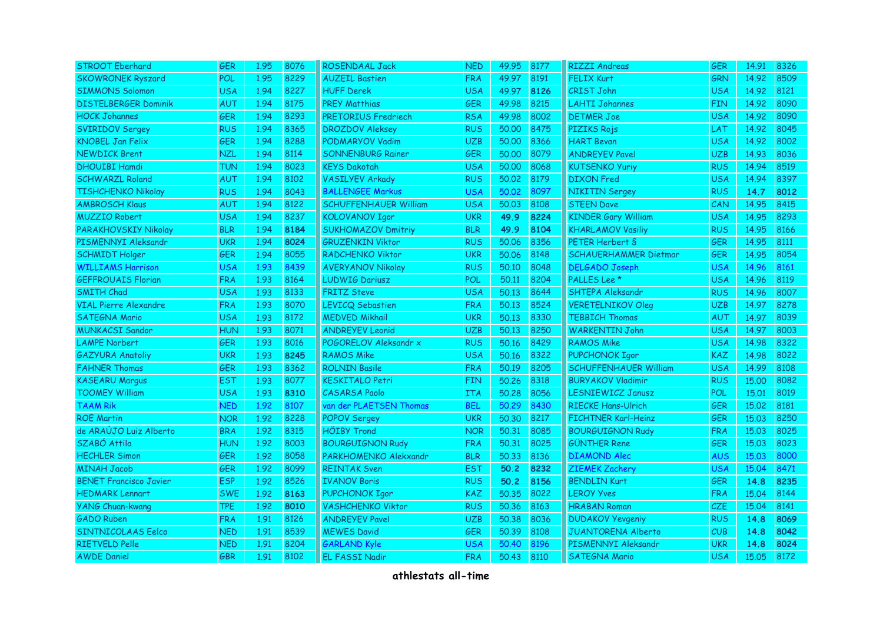| <b>STROOT Eberhard</b>        | <b>GER</b> | 1.95 | 8076 | <b>ROSENDAAL Jack</b>        | <b>NED</b> | 49.95 | 8177 | <b>RIZZI Andreas</b>         | <b>GER</b> | 14.91 | 8326 |
|-------------------------------|------------|------|------|------------------------------|------------|-------|------|------------------------------|------------|-------|------|
| <b>SKOWRONEK Ryszard</b>      | POL        | 1.95 | 8229 | <b>AUZEIL Bastien</b>        | <b>FRA</b> | 49.97 | 8191 | <b>FELIX Kurt</b>            | <b>GRN</b> | 14.92 | 8509 |
| <b>SIMMONS Solomon</b>        | <b>USA</b> | 1.94 | 8227 | <b>HUFF Derek</b>            | <b>USA</b> | 49.97 | 8126 | CRIST John                   | <b>USA</b> | 14.92 | 8121 |
| <b>DISTELBERGER Dominik</b>   | AUT        | 1.94 | 8175 | <b>PREY Matthias</b>         | GER        | 49.98 | 8215 | <b>LAHTI Johannes</b>        | <b>FIN</b> | 14.92 | 8090 |
| <b>HOCK Johannes</b>          | <b>GER</b> | 1.94 | 8293 | PRETORIUS Fredriech          | <b>RSA</b> | 49.98 | 8002 | <b>DETMER Joe</b>            | <b>USA</b> | 14.92 | 8090 |
| <b>SVIRIDOV Sergey</b>        | <b>RUS</b> | 1.94 | 8365 | <b>DROZDOV Aleksey</b>       | <b>RUS</b> | 50.00 | 8475 | <b>PIZIKS Rojs</b>           | LAT        | 14.92 | 8045 |
| <b>KNOBEL Jan Felix</b>       | <b>GER</b> | 1.94 | 8288 | PODMARYOV Vadim              | <b>UZB</b> | 50.00 | 8366 | <b>HART Bevan</b>            | <b>USA</b> | 14.92 | 8002 |
| <b>NEWDICK Brent</b>          | <b>NZL</b> | 1.94 | 8114 | <b>SONNENBURG Rainer</b>     | <b>GER</b> | 50.00 | 8079 | <b>ANDREYEV Pavel</b>        | <b>UZB</b> | 14.93 | 8036 |
| <b>DHOUIBI Hamdi</b>          | <b>TUN</b> | 1.94 | 8023 | <b>KEYS Dakotah</b>          | <b>USA</b> | 50.00 | 8068 | <b>KUTSENKO Yuriy</b>        | <b>RUS</b> | 14.94 | 8519 |
| <b>SCHWARZL Roland</b>        | <b>AUT</b> | 1.94 | 8102 | <b>VASILYEV Arkady</b>       | <b>RUS</b> | 50.02 | 8179 | <b>DIXON</b> Fred            | <b>USA</b> | 14.94 | 8397 |
| <b>TISHCHENKO Nikolay</b>     | <b>RUS</b> | 1.94 | 8043 | <b>BALLENGEE Markus</b>      | <b>USA</b> | 50.02 | 8097 | <b>NIKITIN Sergey</b>        | <b>RUS</b> | 14.7  | 8012 |
| <b>AMBROSCH Klaus</b>         | AUT        | 1.94 | 8122 | <b>SCHUFFENHAUER William</b> | <b>USA</b> | 50.03 | 8108 | <b>STEEN Dave</b>            | CAN        | 14.95 | 8415 |
| <b>MUZZIO Robert</b>          | <b>USA</b> | 1.94 | 8237 | <b>KOLOVANOV Igor</b>        | <b>UKR</b> | 49.9  | 8224 | <b>KINDER Gary William</b>   | <b>USA</b> | 14.95 | 8293 |
| PARAKHOVSKIY Nikolay          | <b>BLR</b> | 1.94 | 8184 | <b>SUKHOMAZOV Dmitriy</b>    | <b>BLR</b> | 49.9  | 8104 | <b>KHARLAMOV Vasiliy</b>     | <b>RUS</b> | 14.95 | 8166 |
| PISMENNYI Aleksandr           | <b>UKR</b> | 1.94 | 8024 | <b>GRUZENKIN Viktor</b>      | <b>RUS</b> | 50.06 | 8356 | PETER Herbert S              | <b>GER</b> | 14.95 | 8111 |
| <b>SCHMIDT Holger</b>         | <b>GER</b> | 1.94 | 8055 | <b>RADCHENKO Viktor</b>      | <b>UKR</b> | 50.06 | 8148 | <b>SCHAUERHAMMER Dietmar</b> | <b>GER</b> | 14.95 | 8054 |
| <b>WILLIAMS Harrison</b>      | <b>USA</b> | 1.93 | 8439 | <b>AVERYANOV Nikolay</b>     | <b>RUS</b> | 50.10 | 8048 | <b>DELGADO Joseph</b>        | <b>USA</b> | 14.96 | 8161 |
| <b>GEFFROUAIS Florian</b>     | <b>FRA</b> | 1.93 | 8164 | <b>LUDWIG Dariusz</b>        | POL        | 50.11 | 8204 | PALLES Lee <sup>*</sup>      | <b>USA</b> | 14.96 | 8119 |
| <b>SMITH Chad</b>             | <b>USA</b> | 1.93 | 8133 | <b>FRITZ Steve</b>           | <b>USA</b> | 50.13 | 8644 | SHTEPA Aleksandr             | <b>RUS</b> | 14.96 | 8007 |
| <b>VIAL Pierre Alexandre</b>  | <b>FRA</b> | 1.93 | 8070 | <b>LEVICQ Sebastien</b>      | <b>FRA</b> | 50.13 | 8524 | <b>VERETELNIKOV Oleg</b>     | <b>UZB</b> | 14.97 | 8278 |
| <b>SATEGNA Mario</b>          | <b>USA</b> | 1.93 | 8172 | <b>MEDVED Mikhail</b>        | <b>UKR</b> | 50.13 | 8330 | <b>TEBBICH Thomas</b>        | <b>AUT</b> | 14.97 | 8039 |
| <b>MUNKACSI Sandor</b>        | <b>HUN</b> | 1.93 | 8071 | <b>ANDREYEV Leonid</b>       | <b>UZB</b> | 50.13 | 8250 | <b>WARKENTIN John</b>        | <b>USA</b> | 14.97 | 8003 |
| <b>LAMPE Norbert</b>          | GER        | 1.93 | 8016 | POGORELOV Aleksandr x        | <b>RUS</b> | 50.16 | 8429 | <b>RAMOS Mike</b>            | <b>USA</b> | 14.98 | 8322 |
| <b>GAZYURA Anatoliy</b>       | <b>UKR</b> | 1.93 | 8245 | <b>RAMOS Mike</b>            | <b>USA</b> | 50.16 | 8322 | <b>PUPCHONOK Igor</b>        | <b>KAZ</b> | 14.98 | 8022 |
| <b>FAHNER Thomas</b>          | <b>GER</b> | 1.93 | 8362 | <b>ROLNIN Basile</b>         | <b>FRA</b> | 50.19 | 8205 | <b>SCHUFFENHAUER William</b> | <b>USA</b> | 14.99 | 8108 |
| <b>KASEARU Margus</b>         | <b>EST</b> | 1.93 | 8077 | <b>KESKITALO Petri</b>       | <b>FIN</b> | 50.26 | 8318 | <b>BURYAKOV Vladimir</b>     | <b>RUS</b> | 15.00 | 8082 |
| <b>TOOMEY William</b>         | <b>USA</b> | 1.93 | 8310 | <b>CASARSA Paolo</b>         | <b>ITA</b> | 50.28 | 8056 | LESNIEWICZ Janusz            | <b>POL</b> | 15.01 | 8019 |
| <b>TAAM Rik</b>               | <b>NFD</b> | 1.92 | 8107 | van der PLAETSEN Thomas      | <b>BEL</b> | 50.29 | 8430 | <b>RIECKE Hans-Ulrich</b>    | <b>GER</b> | 15.02 | 8181 |
| <b>ROE Martin</b>             | <b>NOR</b> | 1.92 | 8228 | <b>POPOV Sergey</b>          | <b>UKR</b> | 50.30 | 8217 | FICHTNER Karl-Heinz          | <b>GER</b> | 15.03 | 8250 |
| de ARAÚJO Luiz Alberto        | <b>BRA</b> | 1.92 | 8315 | <b>HÖIBY Trond</b>           | <b>NOR</b> | 50.31 | 8085 | <b>BOURGUIGNON Rudy</b>      | <b>FRA</b> | 15.03 | 8025 |
| SZABÓ Attila                  | <b>HUN</b> | 1.92 | 8003 | <b>BOURGUIGNON Rudy</b>      | <b>FRA</b> | 50.31 | 8025 | <b>GÜNTHER Rene</b>          | <b>GER</b> | 15.03 | 8023 |
| <b>HECHLER Simon</b>          | <b>GER</b> | 1.92 | 8058 | PARKHOMENKO Alekxandr        | <b>BLR</b> | 50.33 | 8136 | <b>DIAMOND Alec</b>          | <b>AUS</b> | 15.03 | 8000 |
| <b>MINAH Jacob</b>            | <b>GER</b> | 1.92 | 8099 | <b>REINTAK Sven</b>          | <b>EST</b> | 50.2  | 8232 | <b>ZIEMEK Zachery</b>        | <b>USA</b> | 15.04 | 8471 |
| <b>BENET Francisco Javier</b> | <b>ESP</b> | 1.92 | 8526 | <b>IVANOV Boris</b>          | <b>RUS</b> | 50.2  | 8156 | <b>BENDLIN Kurt</b>          | <b>GER</b> | 14.8  | 8235 |
| <b>HEDMARK Lennart</b>        | <b>SWE</b> | 1.92 | 8163 | PUPCHONOK Igor               | <b>KAZ</b> | 50.35 | 8022 | <b>LEROY Yves</b>            | <b>FRA</b> | 15.04 | 8144 |
| <b>YANG Chuan-kwang</b>       | <b>TPE</b> | 1.92 | 8010 | <b>VASHCHENKO Viktor</b>     | <b>RUS</b> | 50.36 | 8163 | <b>HRABAN Roman</b>          | <b>CZE</b> | 15.04 | 8141 |
| <b>GADO Ruben</b>             | <b>FRA</b> | 1.91 | 8126 | <b>ANDREYEV Pavel</b>        | <b>UZB</b> | 50.38 | 8036 | <b>DUDAKOV Yevgeniy</b>      | <b>RUS</b> | 14.8  | 8069 |
| SINTNICOLAAS Eelco            | <b>NED</b> | 1.91 | 8539 | <b>MEWES David</b>           | <b>GER</b> | 50.39 | 8108 | JUANTORENA Alberto           | CUB        | 14.8  | 8042 |
| <b>RIETVELD Pelle</b>         | <b>NED</b> | 1.91 | 8204 | <b>GARLAND Kyle</b>          | <b>USA</b> | 50.40 | 8196 | PISMENNYI Aleksandr          | <b>UKR</b> | 14.8  | 8024 |
| <b>AWDE Daniel</b>            | <b>GBR</b> | 1.91 | 8102 | <b>EL FASSI Nadir</b>        | <b>FRA</b> | 50.43 | 8110 | <b>SATEGNA Mario</b>         | <b>USA</b> | 15.05 | 8172 |